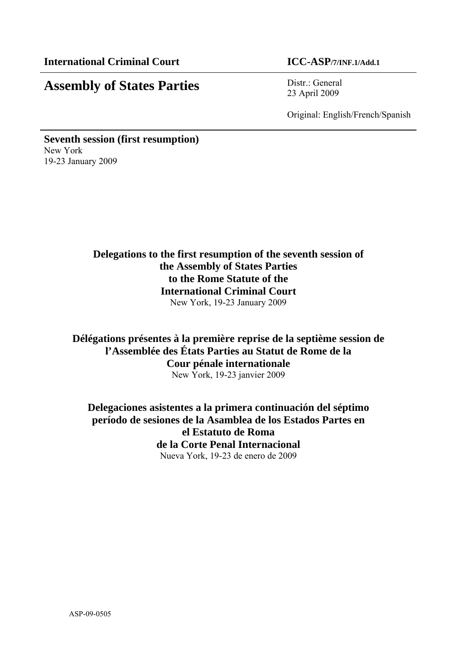# **Assembly of States Parties** Distr.: General

23 April 2009

Original: English/French/Spanish

**Seventh session (first resumption)**  New York 19-23 January 2009

## **Delegations to the first resumption of the seventh session of the Assembly of States Parties to the Rome Statute of the International Criminal Court**  New York, 19-23 January 2009

**Délégations présentes à la première reprise de la septième session de l'Assemblée des États Parties au Statut de Rome de la Cour pénale internationale**  New York, 19-23 janvier 2009

**Delegaciones asistentes a la primera continuación del séptimo período de sesiones de la Asamblea de los Estados Partes en el Estatuto de Roma de la Corte Penal Internacional**  Nueva York, 19-23 de enero de 2009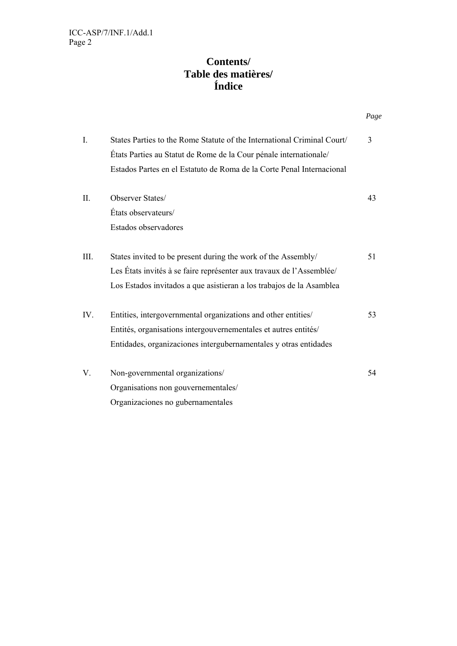## **Contents/ Table des matières/ Índice**

|      |                                                                         | Page |
|------|-------------------------------------------------------------------------|------|
| I.   | States Parties to the Rome Statute of the International Criminal Court/ | 3    |
|      | États Parties au Statut de Rome de la Cour pénale internationale/       |      |
|      | Estados Partes en el Estatuto de Roma de la Corte Penal Internacional   |      |
| II.  | Observer States/                                                        | 43   |
|      | États observateurs/                                                     |      |
|      | Estados observadores                                                    |      |
| III. | States invited to be present during the work of the Assembly/           | 51   |
|      | Les États invités à se faire représenter aux travaux de l'Assemblée/    |      |
|      | Los Estados invitados a que asistieran a los trabajos de la Asamblea    |      |
| IV.  | Entities, intergovernmental organizations and other entities/           | 53   |
|      | Entités, organisations intergouvernementales et autres entités/         |      |
|      | Entidades, organizaciones intergubernamentales y otras entidades        |      |
| V.   | Non-governmental organizations/                                         | 54   |
|      | Organisations non gouvernementales/                                     |      |
|      | Organizaciones no gubernamentales                                       |      |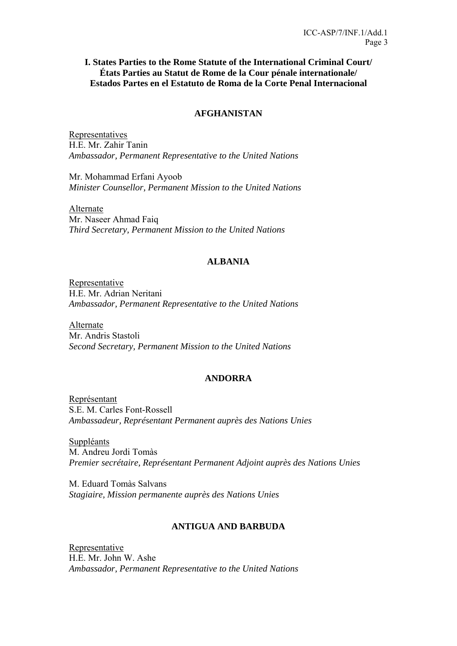### **I. States Parties to the Rome Statute of the International Criminal Court/ États Parties au Statut de Rome de la Cour pénale internationale/ Estados Partes en el Estatuto de Roma de la Corte Penal Internacional**

### **AFGHANISTAN**

Representatives H.E. Mr. Zahir Tanin *Ambassador, Permanent Representative to the United Nations*

Mr. Mohammad Erfani Ayoob *Minister Counsellor, Permanent Mission to the United Nations*

Alternate Mr. Naseer Ahmad Faiq *Third Secretary, Permanent Mission to the United Nations* 

### **ALBANIA**

Representative H.E. Mr. Adrian Neritani *Ambassador, Permanent Representative to the United Nations* 

Alternate Mr. Andris Stastoli *Second Secretary, Permanent Mission to the United Nations* 

### **ANDORRA**

Représentant S.E. M. Carles Font-Rossell *Ambassadeur, Représentant Permanent auprès des Nations Unies* 

Suppléants M. Andreu Jordi Tomàs *Premier secrétaire, Représentant Permanent Adjoint auprès des Nations Unies* 

M. Eduard Tomàs Salvans *Stagiaire, Mission permanente auprès des Nations Unies* 

### **ANTIGUA AND BARBUDA**

Representative H.E. Mr. John W. Ashe *Ambassador, Permanent Representative to the United Nations*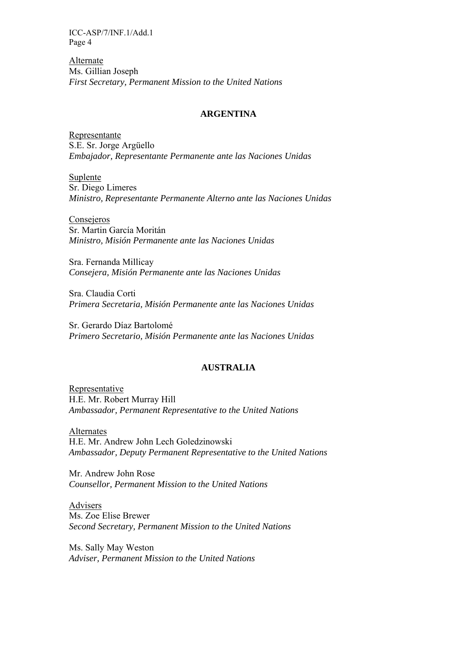Alternate Ms. Gillian Joseph *First Secretary, Permanent Mission to the United Nations* 

### **ARGENTINA**

Representante S.E. Sr. Jorge Argüello *Embajador, Representante Permanente ante las Naciones Unidas* 

Suplente Sr. Diego Limeres *Ministro, Representante Permanente Alterno ante las Naciones Unidas* 

Consejeros Sr. Martin García Moritán *Ministro, Misión Permanente ante las Naciones Unidas* 

Sra. Fernanda Millicay *Consejera, Misión Permanente ante las Naciones Unidas* 

Sra. Claudia Corti *Primera Secretaria, Misión Permanente ante las Naciones Unidas* 

Sr. Gerardo Díaz Bartolomé *Primero Secretario, Misión Permanente ante las Naciones Unidas*

### **AUSTRALIA**

Representative H.E. Mr. Robert Murray Hill *Ambassador, Permanent Representative to the United Nations* 

Alternates H.E. Mr. Andrew John Lech Goledzinowski *Ambassador, Deputy Permanent Representative to the United Nations* 

Mr. Andrew John Rose *Counsellor, Permanent Mission to the United Nations* 

Advisers Ms. Zoe Elise Brewer *Second Secretary, Permanent Mission to the United Nations* 

Ms. Sally May Weston *Adviser, Permanent Mission to the United Nations*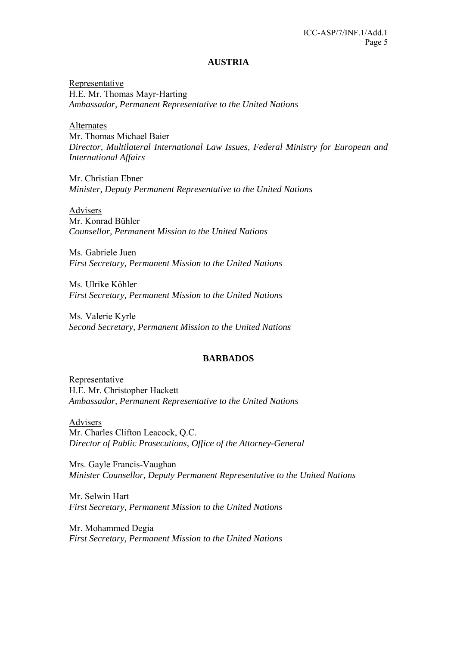#### **AUSTRIA**

Representative H.E. Mr. Thomas Mayr-Harting *Ambassador, Permanent Representative to the United Nations* 

Alternates Mr. Thomas Michael Baier *Director, Multilateral International Law Issues, Federal Ministry for European and International Affairs* 

Mr. Christian Ebner *Minister, Deputy Permanent Representative to the United Nations* 

Advisers Mr. Konrad Bühler *Counsellor, Permanent Mission to the United Nations* 

Ms. Gabriele Juen *First Secretary, Permanent Mission to the United Nations* 

Ms. Ulrike Köhler *First Secretary, Permanent Mission to the United Nations* 

Ms. Valerie Kyrle *Second Secretary, Permanent Mission to the United Nations* 

### **BARBADOS**

**Representative** H.E. Mr. Christopher Hackett *Ambassador, Permanent Representative to the United Nations*

Advisers Mr. Charles Clifton Leacock, Q.C. *Director of Public Prosecutions, Office of the Attorney-General*

Mrs. Gayle Francis-Vaughan *Minister Counsellor, Deputy Permanent Representative to the United Nations* 

Mr. Selwin Hart *First Secretary, Permanent Mission to the United Nations* 

Mr. Mohammed Degia *First Secretary, Permanent Mission to the United Nations*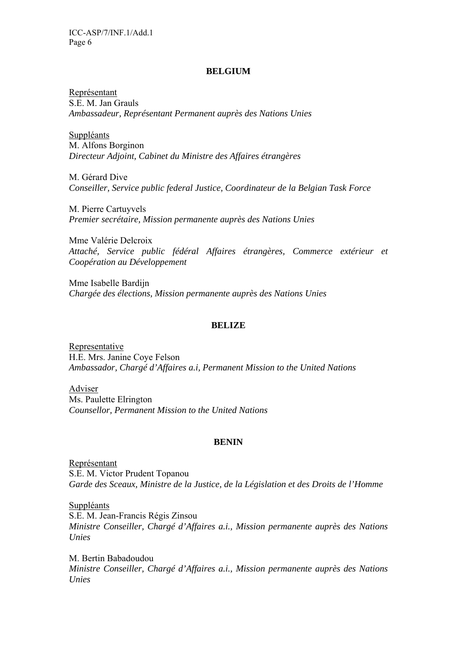### **BELGIUM**

Représentant S.E. M. Jan Grauls *Ambassadeur, Représentant Permanent auprès des Nations Unies* 

Suppléants M. Alfons Borginon *Directeur Adjoint, Cabinet du Ministre des Affaires étrangères* 

M. Gérard Dive *Conseiller, Service public federal Justice, Coordinateur de la Belgian Task Force*

M. Pierre Cartuyvels *Premier secrétaire, Mission permanente auprès des Nations Unies* 

Mme Valérie Delcroix *Attaché, Service public fédéral Affaires étrangères, Commerce extérieur et Coopération au Développement* 

Mme Isabelle Bardijn *Chargée des élections, Mission permanente auprès des Nations Unies* 

### **BELIZE**

Representative H.E. Mrs. Janine Coye Felson *Ambassador, Chargé d'Affaires a.i, Permanent Mission to the United Nations* 

Adviser Ms. Paulette Elrington *Counsellor, Permanent Mission to the United Nations* 

#### **BENIN**

Représentant S.E. M. Victor Prudent Topanou *Garde des Sceaux, Ministre de la Justice, de la Législation et des Droits de l'Homme* 

Suppléants S.E. M. Jean-Francis Régis Zinsou *Ministre Conseiller, Chargé d'Affaires a.i., Mission permanente auprès des Nations Unies* 

M. Bertin Babadoudou *Ministre Conseiller, Chargé d'Affaires a.i., Mission permanente auprès des Nations Unies*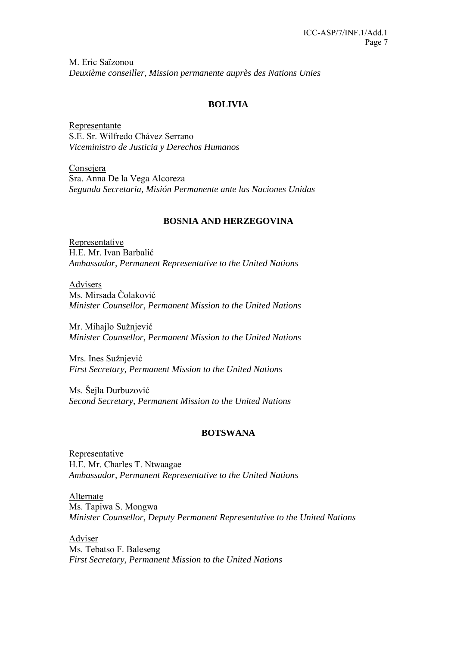M. Eric Saïzonou *Deuxième conseiller, Mission permanente auprès des Nations Unies*

### **BOLIVIA**

Representante S.E. Sr. Wilfredo Chávez Serrano *Viceministro de Justicia y Derechos Humanos* 

Consejera Sra. Anna De la Vega Alcoreza *Segunda Secretaria, Misión Permanente ante las Naciones Unidas* 

### **BOSNIA AND HERZEGOVINA**

Representative H.E. Mr. Ivan Barbalić *Ambassador, Permanent Representative to the United Nations* 

Advisers Ms. Mirsada Čolaković *Minister Counsellor, Permanent Mission to the United Nations* 

Mr. Mihajlo Sužnjević *Minister Counsellor, Permanent Mission to the United Nations* 

Mrs. Ines Sužnjević *First Secretary, Permanent Mission to the United Nations* 

Ms. Šejla Durbuzović *Second Secretary, Permanent Mission to the United Nations* 

### **BOTSWANA**

Representative H.E. Mr. Charles T. Ntwaagae *Ambassador, Permanent Representative to the United Nations* 

Alternate Ms. Tapiwa S. Mongwa *Minister Counsellor, Deputy Permanent Representative to the United Nations* 

Adviser Ms. Tebatso F. Baleseng *First Secretary, Permanent Mission to the United Nations*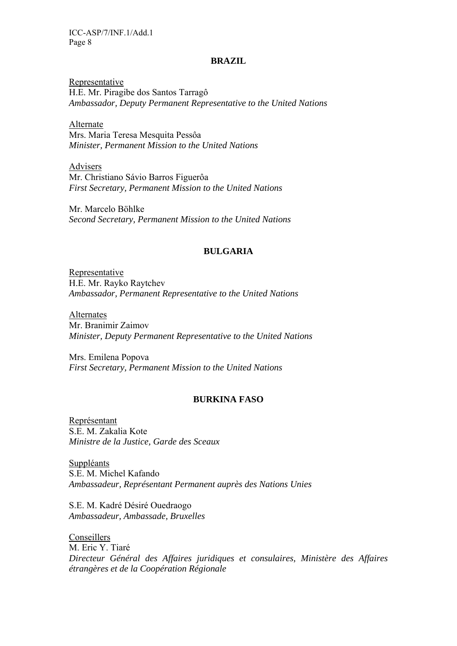#### **BRAZIL**

Representative H.E. Mr. Piragibe dos Santos Tarragô *Ambassador, Deputy Permanent Representative to the United Nations* 

Alternate Mrs. Maria Teresa Mesquita Pessôa *Minister, Permanent Mission to the United Nations* 

Advisers Mr. Christiano Sávio Barros Figuerôa *First Secretary, Permanent Mission to the United Nations* 

Mr. Marcelo Böhlke *Second Secretary, Permanent Mission to the United Nations* 

### **BULGARIA**

Representative H.E. Mr. Rayko Raytchev *Ambassador, Permanent Representative to the United Nations* 

Alternates Mr. Branimir Zaimov *Minister, Deputy Permanent Representative to the United Nations* 

Mrs. Emilena Popova *First Secretary, Permanent Mission to the United Nations* 

### **BURKINA FASO**

Représentant S.E. M. Zakalia Kote *Ministre de la Justice, Garde des Sceaux* 

Suppléants S.E. M. Michel Kafando *Ambassadeur, Représentant Permanent auprès des Nations Unies* 

S.E. M. Kadré Désiré Ouedraogo *Ambassadeur, Ambassade, Bruxelles* 

Conseillers M. Eric Y. Tiaré *Directeur Général des Affaires juridiques et consulaires, Ministère des Affaires étrangères et de la Coopération Régionale*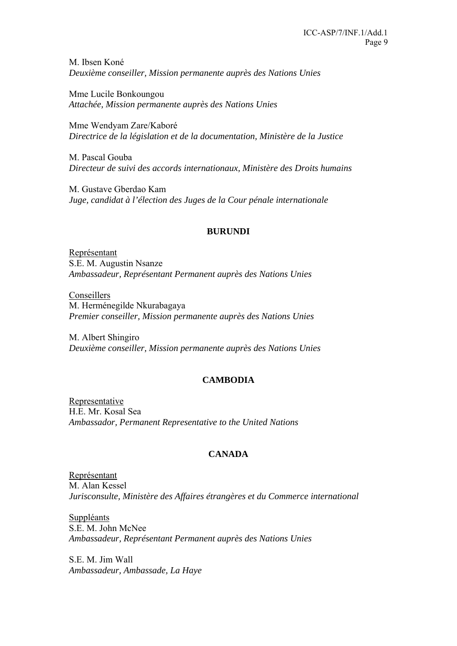M. Ibsen Koné *Deuxième conseiller, Mission permanente auprès des Nations Unies* 

Mme Lucile Bonkoungou *Attachée, Mission permanente auprès des Nations Unies* 

Mme Wendyam Zare/Kaboré *Directrice de la législation et de la documentation, Ministère de la Justice* 

M. Pascal Gouba *Directeur de suivi des accords internationaux, Ministère des Droits humains* 

M. Gustave Gberdao Kam *Juge, candidat à l'élection des Juges de la Cour pénale internationale* 

## **BURUNDI**

Représentant S.E. M. Augustin Nsanze *Ambassadeur, Représentant Permanent auprès des Nations Unies*

Conseillers M. Herménegilde Nkurabagaya *Premier conseiller, Mission permanente auprès des Nations Unies* 

M. Albert Shingiro *Deuxième conseiller, Mission permanente auprès des Nations Unies* 

## **CAMBODIA**

Representative H.E. Mr. Kosal Sea *Ambassador, Permanent Representative to the United Nations* 

## **CANADA**

Représentant M. Alan Kessel *Jurisconsulte, Ministère des Affaires étrangères et du Commerce international* 

Suppléants S.E. M. John McNee *Ambassadeur, Représentant Permanent auprès des Nations Unies* 

S.E. M. Jim Wall *Ambassadeur, Ambassade, La Haye*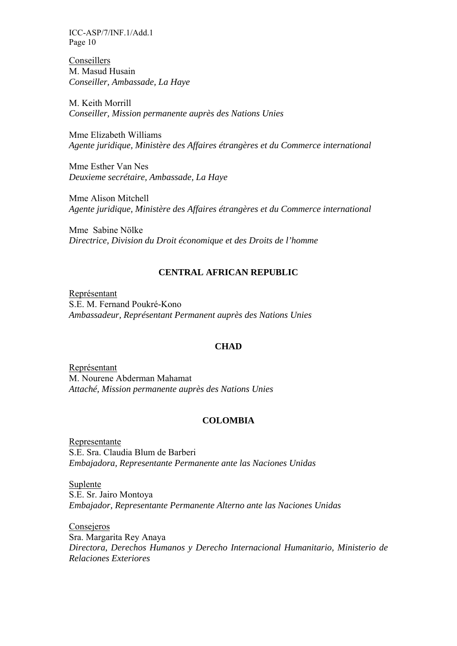Conseillers M. Masud Husain *Conseiller, Ambassade, La Haye* 

M. Keith Morrill *Conseiller, Mission permanente auprès des Nations Unies* 

Mme Elizabeth Williams *Agente juridique, Ministère des Affaires étrangères et du Commerce international* 

Mme Esther Van Nes *Deuxieme secrétaire, Ambassade, La Haye* 

Mme Alison Mitchell *Agente juridique, Ministère des Affaires étrangères et du Commerce international* 

Mme Sabine Nölke *Directrice, Division du Droit économique et des Droits de l'homme* 

### **CENTRAL AFRICAN REPUBLIC**

Représentant S.E. M. Fernand Poukré-Kono *Ambassadeur, Représentant Permanent auprès des Nations Unies* 

### **CHAD**

Représentant M. Nourene Abderman Mahamat *Attaché, Mission permanente auprès des Nations Unies*

### **COLOMBIA**

Representante S.E. Sra. Claudia Blum de Barberi *Embajadora, Representante Permanente ante las Naciones Unidas* 

Suplente S.E. Sr. Jairo Montoya *Embajador, Representante Permanente Alterno ante las Naciones Unidas* 

Consejeros Sra. Margarita Rey Anaya *Directora, Derechos Humanos y Derecho Internacional Humanitario, Ministerio de Relaciones Exteriores*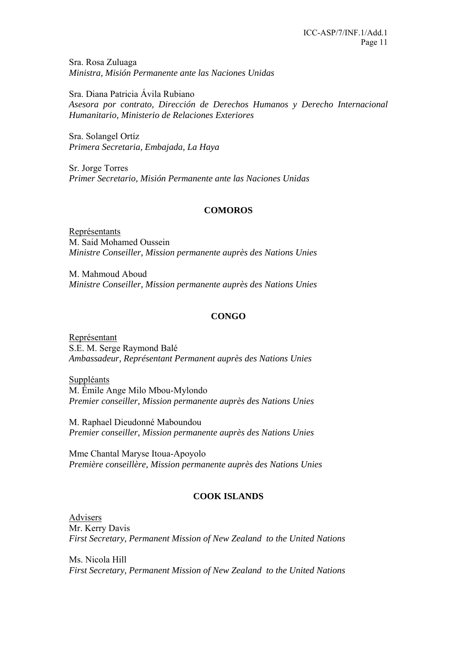Sra. Rosa Zuluaga *Ministra, Misión Permanente ante las Naciones Unidas* 

Sra. Diana Patricia Ávila Rubiano *Asesora por contrato, Dirección de Derechos Humanos y Derecho Internacional Humanitario, Ministerio de Relaciones Exteriores* 

Sra. Solangel Ortíz *Primera Secretaria, Embajada, La Haya* 

Sr. Jorge Torres *Primer Secretario, Misión Permanente ante las Naciones Unidas* 

## **COMOROS**

Représentants M. Said Mohamed Oussein *Ministre Conseiller, Mission permanente auprès des Nations Unies* 

M. Mahmoud Aboud *Ministre Conseiller, Mission permanente auprès des Nations Unies* 

## **CONGO**

Représentant S.E. M. Serge Raymond Balé *Ambassadeur, Représentant Permanent auprès des Nations Unies* 

Suppléants M. Émile Ange Milo Mbou-Mylondo *Premier conseiller, Mission permanente auprès des Nations Unies* 

M. Raphael Dieudonné Maboundou *Premier conseiller, Mission permanente auprès des Nations Unies* 

Mme Chantal Maryse Itoua-Apoyolo *Première conseillère, Mission permanente auprès des Nations Unies* 

## **COOK ISLANDS**

Advisers Mr. Kerry Davis *First Secretary, Permanent Mission of New Zealand to the United Nations* 

Ms. Nicola Hill *First Secretary, Permanent Mission of New Zealand to the United Nations*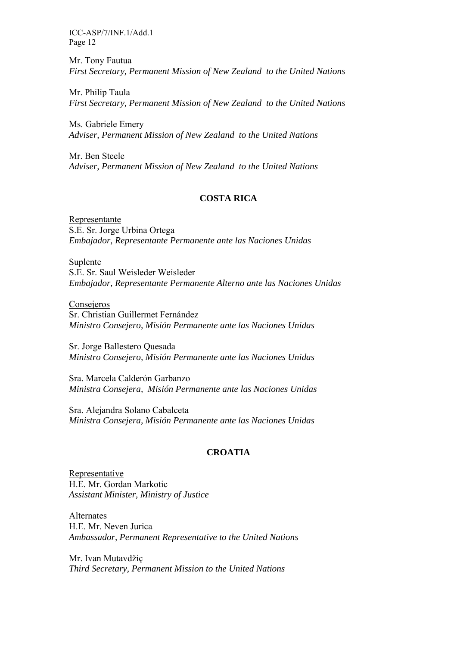Mr. Tony Fautua *First Secretary, Permanent Mission of New Zealand to the United Nations* 

Mr. Philip Taula *First Secretary, Permanent Mission of New Zealand to the United Nations* 

Ms. Gabriele Emery *Adviser, Permanent Mission of New Zealand to the United Nations* 

Mr. Ben Steele *Adviser, Permanent Mission of New Zealand to the United Nations* 

### **COSTA RICA**

Representante S.E. Sr. Jorge Urbina Ortega *Embajador, Representante Permanente ante las Naciones Unidas* 

Suplente S.E. Sr. Saul Weisleder Weisleder *Embajador, Representante Permanente Alterno ante las Naciones Unidas* 

Consejeros Sr. Christian Guillermet Fernández *Ministro Consejero, Misión Permanente ante las Naciones Unidas* 

Sr. Jorge Ballestero Quesada *Ministro Consejero, Misión Permanente ante las Naciones Unidas* 

Sra. Marcela Calderón Garbanzo *Ministra Consejera, Misión Permanente ante las Naciones Unidas* 

Sra. Alejandra Solano Cabalceta *Ministra Consejera, Misión Permanente ante las Naciones Unidas* 

### **CROATIA**

Representative H.E. Mr. Gordan Markotic *Assistant Minister, Ministry of Justice* 

Alternates H.E. Mr. Neven Jurica *Ambassador, Permanent Representative to the United Nations* 

Mr. Ivan Mutavdžiç *Third Secretary, Permanent Mission to the United Nations*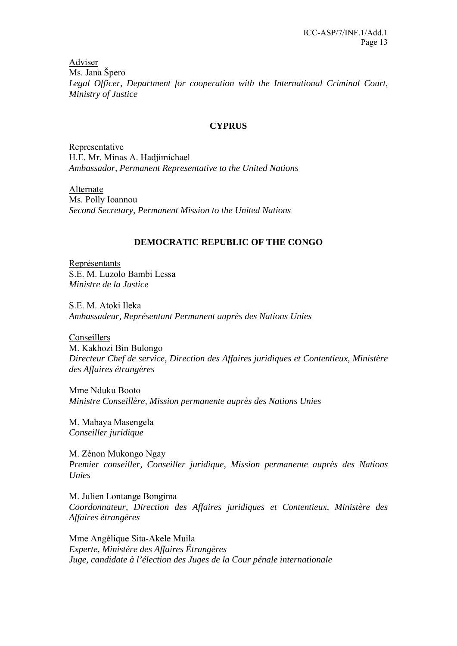Adviser Ms. Jana Špero *Legal Officer, Department for cooperation with the International Criminal Court, Ministry of Justice*

### **CYPRUS**

**Representative** H.E. Mr. Minas A. Hadjimichael *Ambassador, Permanent Representative to the United Nations* 

Alternate Ms. Polly Ioannou *Second Secretary, Permanent Mission to the United Nations* 

### **DEMOCRATIC REPUBLIC OF THE CONGO**

Représentants S.E. M. Luzolo Bambi Lessa *Ministre de la Justice* 

S.E. M. Atoki Ileka *Ambassadeur, Représentant Permanent auprès des Nations Unies* 

Conseillers M. Kakhozi Bin Bulongo *Directeur Chef de service, Direction des Affaires juridiques et Contentieux, Ministère des Affaires étrangères* 

Mme Nduku Booto *Ministre Conseillère, Mission permanente auprès des Nations Unies* 

M. Mabaya Masengela *Conseiller juridique* 

M. Zénon Mukongo Ngay *Premier conseiller, Conseiller juridique, Mission permanente auprès des Nations Unies* 

M. Julien Lontange Bongima *Coordonnateur, Direction des Affaires juridiques et Contentieux, Ministère des Affaires étrangères* 

Mme Angélique Sita-Akele Muila *Experte, Ministère des Affaires Étrangères Juge, candidate à l'élection des Juges de la Cour pénale internationale*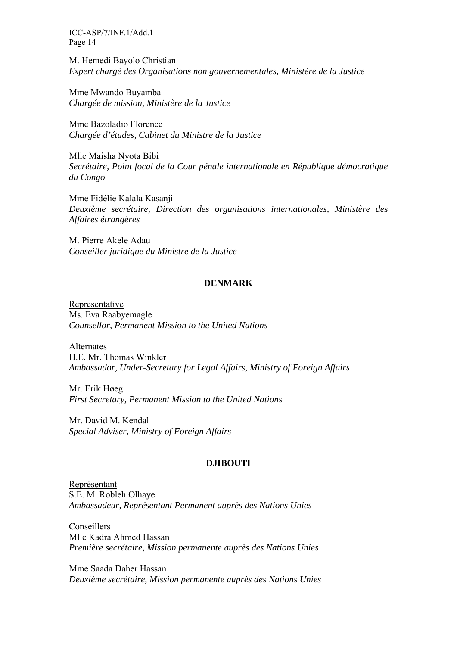M. Hemedi Bayolo Christian *Expert chargé des Organisations non gouvernementales, Ministère de la Justice* 

Mme Mwando Buyamba *Chargée de mission, Ministère de la Justice* 

Mme Bazoladio Florence *Chargée d'études, Cabinet du Ministre de la Justice* 

Mlle Maisha Nyota Bibi *Secrétaire, Point focal de la Cour pénale internationale en République démocratique du Congo* 

Mme Fidélie Kalala Kasanji *Deuxième secrétaire, Direction des organisations internationales, Ministère des Affaires étrangères* 

M. Pierre Akele Adau *Conseiller juridique du Ministre de la Justice* 

### **DENMARK**

Representative Ms. Eva Raabyemagle *Counsellor, Permanent Mission to the United Nations* 

Alternates H.E. Mr. Thomas Winkler *Ambassador, Under-Secretary for Legal Affairs, Ministry of Foreign Affairs* 

Mr. Erik Høeg *First Secretary, Permanent Mission to the United Nations* 

Mr. David M. Kendal *Special Adviser, Ministry of Foreign Affairs* 

### **DJIBOUTI**

Représentant S.E. M. Robleh Olhaye *Ambassadeur, Représentant Permanent auprès des Nations Unies* 

Conseillers Mlle Kadra Ahmed Hassan *Première secrétaire, Mission permanente auprès des Nations Unies* 

Mme Saada Daher Hassan *Deuxième secrétaire, Mission permanente auprès des Nations Unies*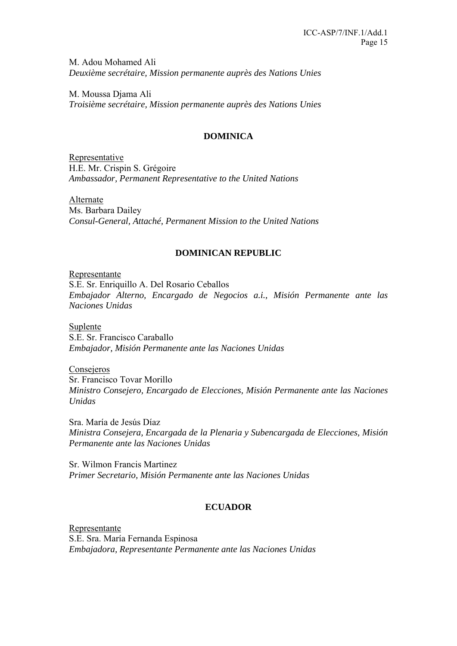M. Adou Mohamed Ali *Deuxième secrétaire, Mission permanente auprès des Nations Unies* 

M. Moussa Djama Ali *Troisième secrétaire, Mission permanente auprès des Nations Unies* 

## **DOMINICA**

Representative H.E. Mr. Crispin S. Grégoire *Ambassador, Permanent Representative to the United Nations* 

Alternate Ms. Barbara Dailey *Consul-General, Attaché, Permanent Mission to the United Nations* 

## **DOMINICAN REPUBLIC**

Representante S.E. Sr. Enriquillo A. Del Rosario Ceballos *Embajador Alterno, Encargado de Negocios a.i., Misión Permanente ante las Naciones Unidas* 

Suplente S.E. Sr. Francisco Caraballo *Embajador, Misión Permanente ante las Naciones Unidas* 

**Consejeros** Sr. Francisco Tovar Morillo *Ministro Consejero, Encargado de Elecciones, Misión Permanente ante las Naciones Unidas* 

Sra. María de Jesús Díaz *Ministra Consejera, Encargada de la Plenaria y Subencargada de Elecciones, Misión Permanente ante las Naciones Unidas* 

Sr. Wilmon Francis Martinez *Primer Secretario, Misión Permanente ante las Naciones Unidas* 

## **ECUADOR**

Representante S.E. Sra. María Fernanda Espinosa *Embajadora, Representante Permanente ante las Naciones Unidas*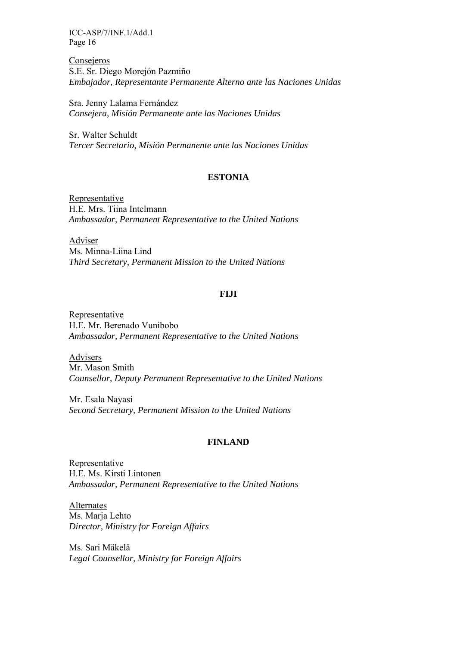Consejeros S.E. Sr. Diego Morejón Pazmiño *Embajador, Representante Permanente Alterno ante las Naciones Unidas* 

Sra. Jenny Lalama Fernández *Consejera, Misión Permanente ante las Naciones Unidas* 

Sr. Walter Schuldt *Tercer Secretario, Misión Permanente ante las Naciones Unidas* 

### **ESTONIA**

Representative H.E. Mrs. Tiina Intelmann *Ambassador, Permanent Representative to the United Nations* 

Adviser Ms. Minna-Liina Lind *Third Secretary, Permanent Mission to the United Nations* 

### **FIJI**

Representative H.E. Mr. Berenado Vunibobo *Ambassador, Permanent Representative to the United Nations* 

Advisers Mr. Mason Smith *Counsellor, Deputy Permanent Representative to the United Nations* 

Mr. Esala Nayasi *Second Secretary, Permanent Mission to the United Nations* 

### **FINLAND**

Representative H.E. Ms. Kirsti Lintonen *Ambassador, Permanent Representative to the United Nations* 

Alternates Ms. Marja Lehto *Director, Ministry for Foreign Affairs* 

Ms. Sari Mäkelä *Legal Counsellor, Ministry for Foreign Affairs*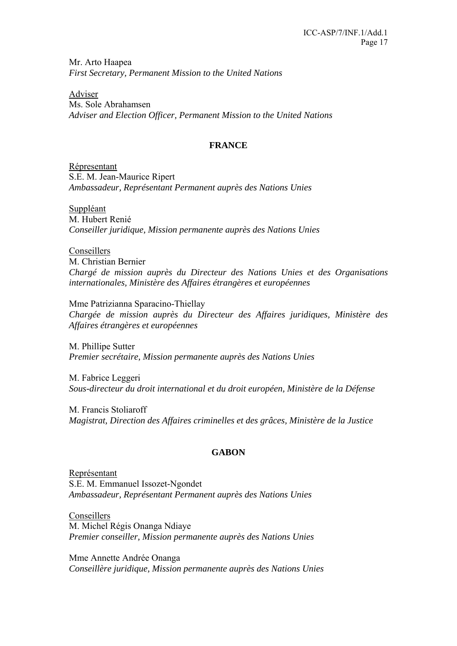Mr. Arto Haapea *First Secretary, Permanent Mission to the United Nations* 

Adviser Ms. Sole Abrahamsen *Adviser and Election Officer, Permanent Mission to the United Nations* 

### **FRANCE**

Répresentant S.E. M. Jean-Maurice Ripert *Ambassadeur, Représentant Permanent auprès des Nations Unies* 

Suppléant M. Hubert Renié *Conseiller juridique, Mission permanente auprès des Nations Unies* 

Conseillers M. Christian Bernier *Chargé de mission auprès du Directeur des Nations Unies et des Organisations internationales, Ministère des Affaires étrangères et européennes* 

Mme Patrizianna Sparacino-Thiellay *Chargée de mission auprès du Directeur des Affaires juridiques, Ministère des Affaires étrangères et européennes*

M. Phillipe Sutter *Premier secrétaire, Mission permanente auprès des Nations Unies* 

M. Fabrice Leggeri *Sous-directeur du droit international et du droit européen, Ministère de la Défense* 

M. Francis Stoliaroff *Magistrat, Direction des Affaires criminelles et des grâces, Ministère de la Justice* 

## **GABON**

Représentant S.E. M. Emmanuel Issozet-Ngondet *Ambassadeur, Représentant Permanent auprès des Nations Unies* 

Conseillers M. Michel Régis Onanga Ndiaye *Premier conseiller, Mission permanente auprès des Nations Unies* 

Mme Annette Andrée Onanga *Conseillère juridique, Mission permanente auprès des Nations Unies*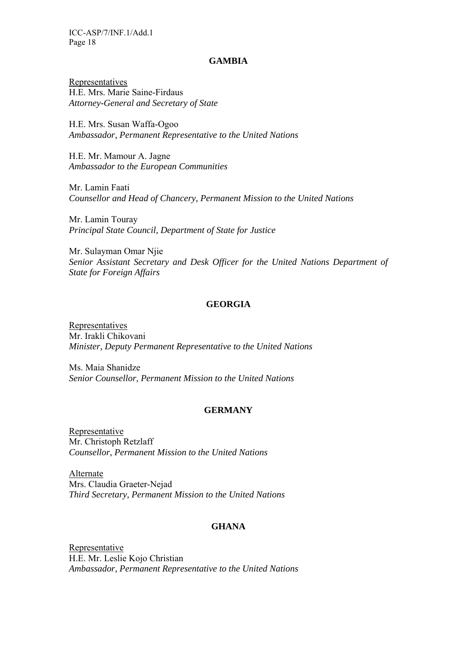#### **GAMBIA**

Representatives H.E. Mrs. Marie Saine-Firdaus *Attorney-General and Secretary of State*

H.E. Mrs. Susan Waffa-Ogoo *Ambassador, Permanent Representative to the United Nations* 

H.E. Mr. Mamour A. Jagne *Ambassador to the European Communities* 

Mr. Lamin Faati *Counsellor and Head of Chancery, Permanent Mission to the United Nations* 

Mr. Lamin Touray *Principal State Council, Department of State for Justice* 

Mr. Sulayman Omar Njie *Senior Assistant Secretary and Desk Officer for the United Nations Department of State for Foreign Affairs* 

#### **GEORGIA**

Representatives Mr. Irakli Chikovani *Minister, Deputy Permanent Representative to the United Nations* 

Ms. Maia Shanidze *Senior Counsellor, Permanent Mission to the United Nations* 

### **GERMANY**

**Representative** Mr. Christoph Retzlaff *Counsellor, Permanent Mission to the United Nations* 

Alternate Mrs. Claudia Graeter-Nejad *Third Secretary, Permanent Mission to the United Nations* 

## **GHANA**

Representative H.E. Mr. Leslie Kojo Christian *Ambassador, Permanent Representative to the United Nations*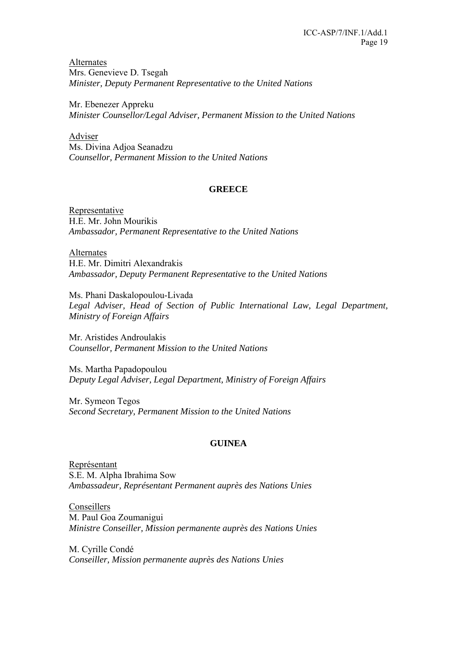Alternates Mrs. Genevieve D. Tsegah *Minister, Deputy Permanent Representative to the United Nations* 

Mr. Ebenezer Appreku *Minister Counsellor/Legal Adviser, Permanent Mission to the United Nations* 

Adviser Ms. Divina Adjoa Seanadzu *Counsellor, Permanent Mission to the United Nations*

## **GREECE**

Representative H.E. Mr. John Mourikis *Ambassador, Permanent Representative to the United Nations* 

Alternates H.E. Mr. Dimitri Alexandrakis *Ambassador, Deputy Permanent Representative to the United Nations* 

Ms. Phani Daskalopoulou-Livada Legal Adviser, Head of Section of Public International Law, Legal Department, *Ministry of Foreign Affairs* 

Mr. Aristides Androulakis *Counsellor, Permanent Mission to the United Nations* 

Ms. Martha Papadopoulou *Deputy Legal Adviser, Legal Department, Ministry of Foreign Affairs* 

Mr. Symeon Tegos *Second Secretary, Permanent Mission to the United Nations* 

## **GUINEA**

Représentant S.E. M. Alpha Ibrahima Sow *Ambassadeur, Représentant Permanent auprès des Nations Unies* 

Conseillers M. Paul Goa Zoumanigui *Ministre Conseiller, Mission permanente auprès des Nations Unies* 

M. Cyrille Condé *Conseiller, Mission permanente auprès des Nations Unies*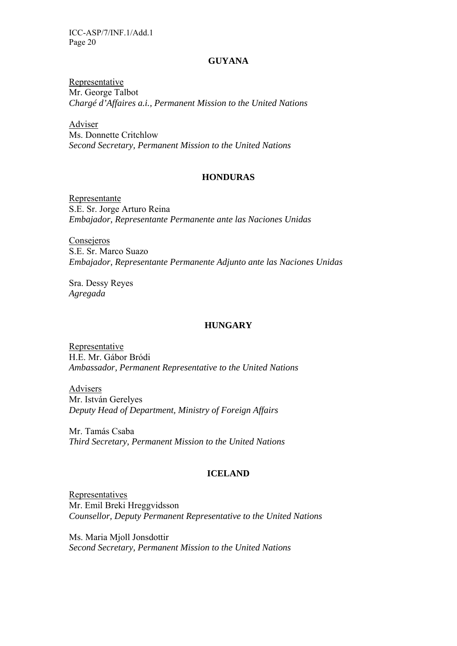#### **GUYANA**

Representative Mr. George Talbot *Chargé d'Affaires a.i., Permanent Mission to the United Nations* 

Adviser Ms. Donnette Critchlow *Second Secretary, Permanent Mission to the United Nations* 

### **HONDURAS**

Representante S.E. Sr. Jorge Arturo Reina *Embajador, Representante Permanente ante las Naciones Unidas* 

Consejeros S.E. Sr. Marco Suazo *Embajador, Representante Permanente Adjunto ante las Naciones Unidas* 

Sra. Dessy Reyes *Agregada* 

### **HUNGARY**

Representative H.E. Mr. Gábor Bródi *Ambassador, Permanent Representative to the United Nations* 

Advisers Mr. István Gerelyes *Deputy Head of Department, Ministry of Foreign Affairs* 

Mr. Tamás Csaba *Third Secretary, Permanent Mission to the United Nations* 

### **ICELAND**

Representatives Mr. Emil Breki Hreggvidsson *Counsellor, Deputy Permanent Representative to the United Nations* 

Ms. Maria Mjoll Jonsdottir *Second Secretary, Permanent Mission to the United Nations*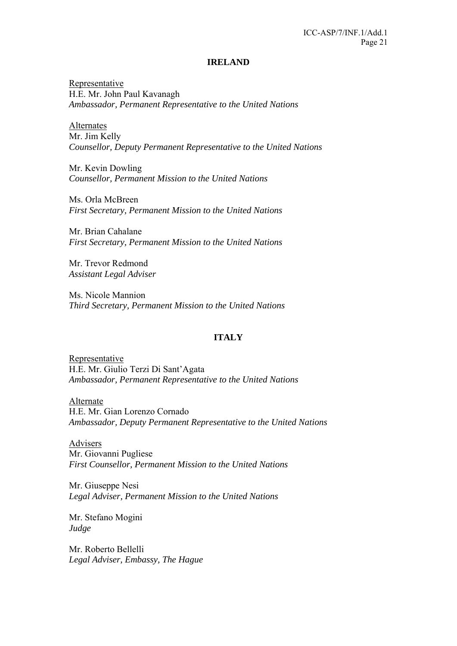#### **IRELAND**

Representative H.E. Mr. John Paul Kavanagh *Ambassador, Permanent Representative to the United Nations* 

Alternates Mr. Jim Kelly *Counsellor, Deputy Permanent Representative to the United Nations* 

Mr. Kevin Dowling *Counsellor, Permanent Mission to the United Nations* 

Ms. Orla McBreen *First Secretary, Permanent Mission to the United Nations* 

Mr. Brian Cahalane *First Secretary, Permanent Mission to the United Nations* 

Mr. Trevor Redmond *Assistant Legal Adviser* 

Ms. Nicole Mannion *Third Secretary, Permanent Mission to the United Nations* 

### **ITALY**

Representative H.E. Mr. Giulio Terzi Di Sant'Agata *Ambassador, Permanent Representative to the United Nations* 

Alternate H.E. Mr. Gian Lorenzo Cornado *Ambassador, Deputy Permanent Representative to the United Nations* 

Advisers Mr. Giovanni Pugliese *First Counsellor, Permanent Mission to the United Nations* 

Mr. Giuseppe Nesi *Legal Adviser, Permanent Mission to the United Nations* 

Mr. Stefano Mogini *Judge* 

Mr. Roberto Bellelli *Legal Adviser, Embassy, The Hague*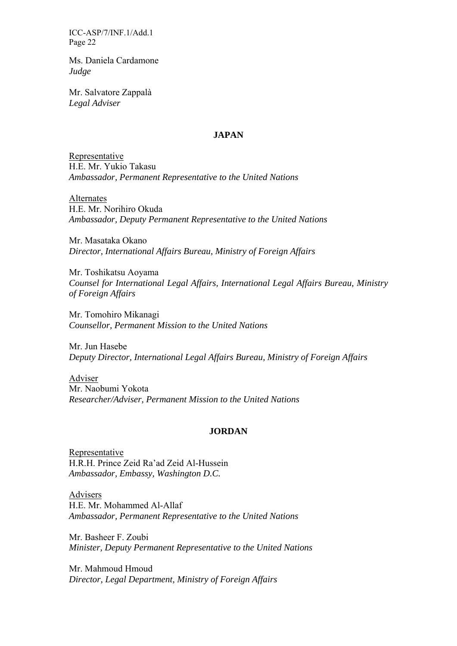Ms. Daniela Cardamone *Judge* 

Mr. Salvatore Zappalà *Legal Adviser* 

## **JAPAN**

Representative H.E. Mr. Yukio Takasu *Ambassador, Permanent Representative to the United Nations* 

Alternates H.E. Mr. Norihiro Okuda *Ambassador, Deputy Permanent Representative to the United Nations* 

Mr. Masataka Okano *Director, International Affairs Bureau, Ministry of Foreign Affairs* 

Mr. Toshikatsu Aoyama *Counsel for International Legal Affairs, International Legal Affairs Bureau, Ministry of Foreign Affairs* 

Mr. Tomohiro Mikanagi *Counsellor, Permanent Mission to the United Nations* 

Mr. Jun Hasebe *Deputy Director, International Legal Affairs Bureau, Ministry of Foreign Affairs* 

Adviser Mr. Naobumi Yokota *Researcher/Adviser, Permanent Mission to the United Nations* 

### **JORDAN**

Representative H.R.H. Prince Zeid Ra'ad Zeid Al-Hussein *Ambassador, Embassy, Washington D.C.* 

Advisers H.E. Mr. Mohammed Al-Allaf *Ambassador, Permanent Representative to the United Nations* 

Mr. Basheer F. Zoubi *Minister, Deputy Permanent Representative to the United Nations* 

Mr. Mahmoud Hmoud *Director, Legal Department, Ministry of Foreign Affairs*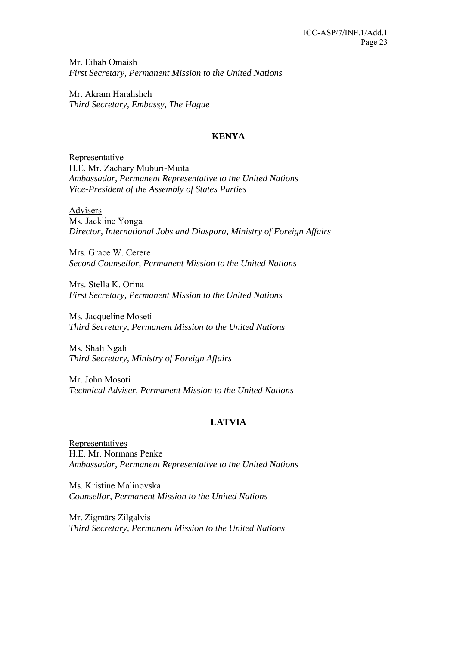Mr. Eihab Omaish *First Secretary, Permanent Mission to the United Nations* 

Mr. Akram Harahsheh *Third Secretary, Embassy, The Hague* 

## **KENYA**

Representative H.E. Mr. Zachary Muburi-Muita *Ambassador, Permanent Representative to the United Nations Vice-President of the Assembly of States Parties* 

Advisers

Ms. Jackline Yonga *Director, International Jobs and Diaspora, Ministry of Foreign Affairs* 

Mrs. Grace W. Cerere *Second Counsellor, Permanent Mission to the United Nations* 

Mrs. Stella K. Orina *First Secretary, Permanent Mission to the United Nations* 

Ms. Jacqueline Moseti *Third Secretary, Permanent Mission to the United Nations* 

Ms. Shali Ngali *Third Secretary, Ministry of Foreign Affairs* 

Mr. John Mosoti *Technical Adviser, Permanent Mission to the United Nations* 

## **LATVIA**

Representatives H.E. Mr. Normans Penke *Ambassador, Permanent Representative to the United Nations* 

Ms. Kristine Malinovska *Counsellor, Permanent Mission to the United Nations* 

Mr. Zigmārs Zilgalvis *Third Secretary, Permanent Mission to the United Nations*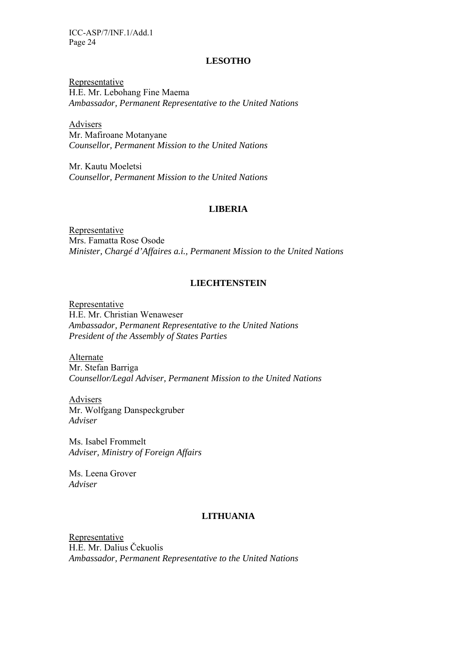### **LESOTHO**

Representative H.E. Mr. Lebohang Fine Maema *Ambassador, Permanent Representative to the United Nations* 

Advisers Mr. Mafiroane Motanyane *Counsellor, Permanent Mission to the United Nations* 

Mr. Kautu Moeletsi *Counsellor, Permanent Mission to the United Nations* 

### **LIBERIA**

Representative Mrs. Famatta Rose Osode *Minister, Chargé d'Affaires a.i., Permanent Mission to the United Nations* 

### **LIECHTENSTEIN**

Representative H.E. Mr. Christian Wenaweser *Ambassador, Permanent Representative to the United Nations President of the Assembly of States Parties* 

Alternate Mr. Stefan Barriga *Counsellor/Legal Adviser, Permanent Mission to the United Nations* 

Advisers Mr. Wolfgang Danspeckgruber *Adviser* 

Ms. Isabel Frommelt *Adviser, Ministry of Foreign Affairs* 

Ms. Leena Grover *Adviser* 

## **LITHUANIA**

Representative H.E. Mr. Dalius Čekuolis *Ambassador, Permanent Representative to the United Nations*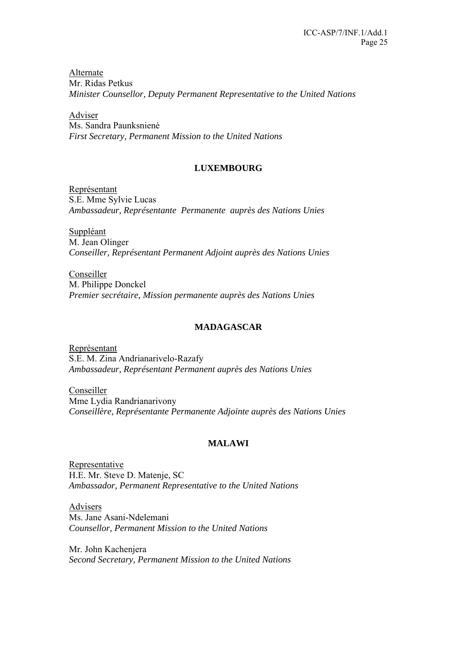Alternate Mr. Ridas Petkus *Minister Counsellor, Deputy Permanent Representative to the United Nations* 

Adviser Ms. Sandra Paunksnienė *First Secretary, Permanent Mission to the United Nations* 

## **LUXEMBOURG**

Représentant S.E. Mme Sylvie Lucas *Ambassadeur, Représentante Permanente auprès des Nations Unies* 

Suppléant M. Jean Olinger *Conseiller, Représentant Permanent Adjoint auprès des Nations Unies* 

Conseiller M. Philippe Donckel *Premier secrétaire, Mission permanente auprès des Nations Unies* 

## **MADAGASCAR**

Représentant S.E. M. Zina Andrianarivelo-Razafy *Ambassadeur, Représentant Permanent auprès des Nations Unies* 

Conseiller Mme Lydia Randrianarivony *Conseillère, Représentante Permanente Adjointe auprès des Nations Unies* 

## **MALAWI**

Representative H.E. Mr. Steve D. Matenje, SC *Ambassador, Permanent Representative to the United Nations*

Advisers Ms. Jane Asani-Ndelemani *Counsellor, Permanent Mission to the United Nations*

Mr. John Kachenjera *Second Secretary, Permanent Mission to the United Nations*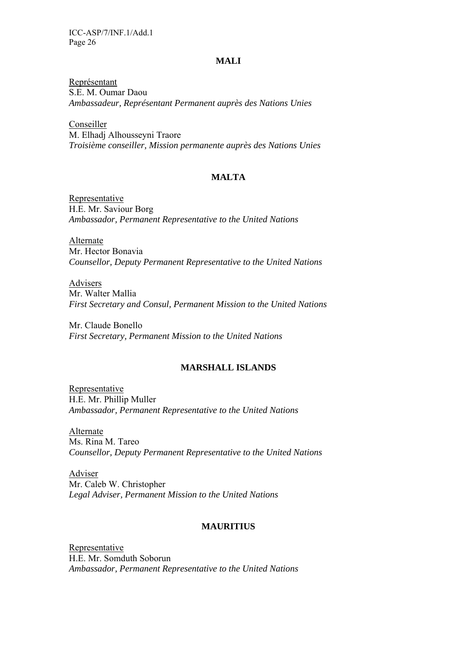### **MALI**

Représentant S.E. M. Oumar Daou *Ambassadeur, Représentant Permanent auprès des Nations Unies* 

Conseiller M. Elhadj Alhousseyni Traore *Troisième conseiller, Mission permanente auprès des Nations Unies* 

### **MALTA**

Representative H.E. Mr. Saviour Borg *Ambassador, Permanent Representative to the United Nations* 

Alternate Mr. Hector Bonavia *Counsellor, Deputy Permanent Representative to the United Nations* 

Advisers Mr. Walter Mallia *First Secretary and Consul, Permanent Mission to the United Nations* 

Mr. Claude Bonello *First Secretary, Permanent Mission to the United Nations*

### **MARSHALL ISLANDS**

Representative H.E. Mr. Phillip Muller *Ambassador, Permanent Representative to the United Nations* 

Alternate Ms. Rina M. Tareo *Counsellor, Deputy Permanent Representative to the United Nations* 

Adviser Mr. Caleb W. Christopher *Legal Adviser, Permanent Mission to the United Nations* 

### **MAURITIUS**

Representative H.E. Mr. Somduth Soborun *Ambassador, Permanent Representative to the United Nations*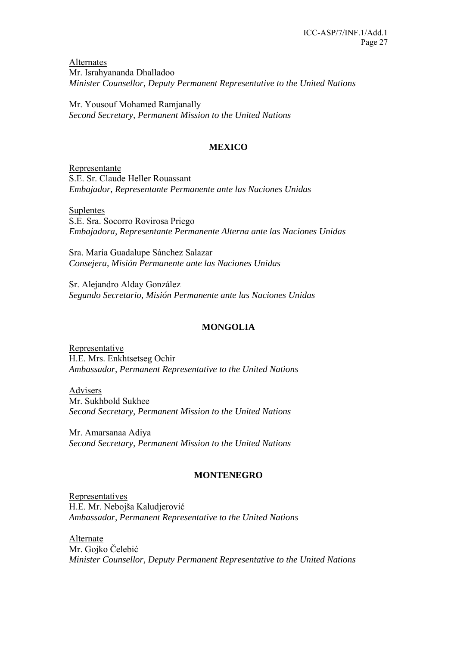Alternates Mr. Israhyananda Dhalladoo *Minister Counsellor, Deputy Permanent Representative to the United Nations* 

Mr. Yousouf Mohamed Ramjanally *Second Secretary, Permanent Mission to the United Nations* 

## **MEXICO**

Representante S.E. Sr. Claude Heller Rouassant *Embajador, Representante Permanente ante las Naciones Unidas* 

Suplentes S.E. Sra. Socorro Rovirosa Priego *Embajadora, Representante Permanente Alterna ante las Naciones Unidas* 

Sra. María Guadalupe Sánchez Salazar *Consejera, Misión Permanente ante las Naciones Unidas* 

Sr. Alejandro Alday González *Segundo Secretario, Misión Permanente ante las Naciones Unidas* 

## **MONGOLIA**

Representative H.E. Mrs. Enkhtsetseg Ochir *Ambassador, Permanent Representative to the United Nations* 

Advisers Mr. Sukhbold Sukhee *Second Secretary, Permanent Mission to the United Nations* 

Mr. Amarsanaa Adiya *Second Secretary, Permanent Mission to the United Nations* 

### **MONTENEGRO**

Representatives H.E. Mr. Nebojša Kaludjerović *Ambassador, Permanent Representative to the United Nations* 

Alternate Mr. Gojko Čelebić *Minister Counsellor, Deputy Permanent Representative to the United Nations*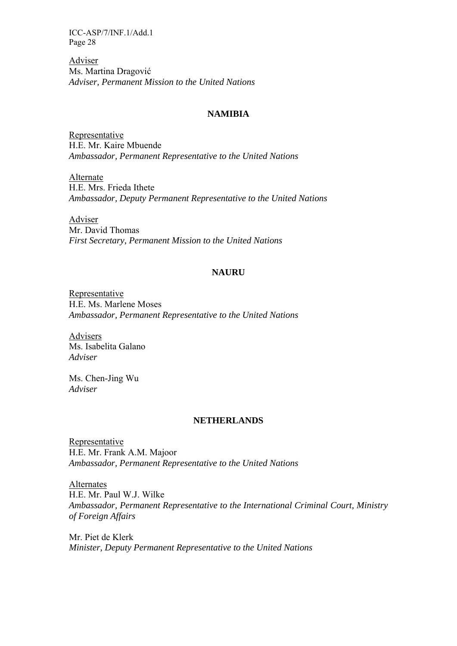Adviser Ms. Martina Dragović *Adviser, Permanent Mission to the United Nations* 

### **NAMIBIA**

Representative H.E. Mr. Kaire Mbuende *Ambassador, Permanent Representative to the United Nations* 

Alternate H.E. Mrs. Frieda Ithete *Ambassador, Deputy Permanent Representative to the United Nations* 

Adviser Mr. David Thomas *First Secretary, Permanent Mission to the United Nations* 

### **NAURU**

Representative H.E. Ms. Marlene Moses *Ambassador, Permanent Representative to the United Nations* 

Advisers Ms. Isabelita Galano *Adviser* 

Ms. Chen-Jing Wu *Adviser* 

#### **NETHERLANDS**

Representative H.E. Mr. Frank A.M. Majoor *Ambassador, Permanent Representative to the United Nations* 

Alternates H.E. Mr. Paul W.J. Wilke *Ambassador, Permanent Representative to the International Criminal Court, Ministry of Foreign Affairs* 

Mr. Piet de Klerk *Minister, Deputy Permanent Representative to the United Nations*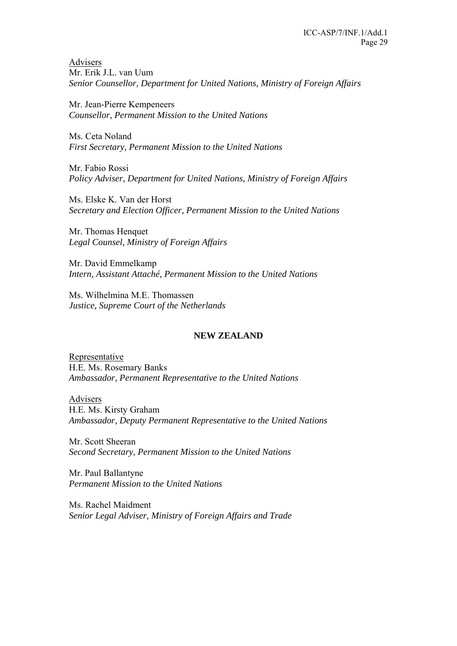Advisers Mr. Erik J.L. van Uum *Senior Counsellor, Department for United Nations, Ministry of Foreign Affairs* 

Mr. Jean-Pierre Kempeneers *Counsellor, Permanent Mission to the United Nations* 

Ms. Ceta Noland *First Secretary, Permanent Mission to the United Nations* 

Mr. Fabio Rossi *Policy Adviser, Department for United Nations, Ministry of Foreign Affairs* 

Ms. Elske K. Van der Horst *Secretary and Election Officer, Permanent Mission to the United Nations* 

Mr. Thomas Henquet *Legal Counsel, Ministry of Foreign Affairs* 

Mr. David Emmelkamp *Intern, Assistant Attaché, Permanent Mission to the United Nations* 

Ms. Wilhelmina M.E. Thomassen *Justice, Supreme Court of the Netherlands* 

## **NEW ZEALAND**

Representative H.E. Ms. Rosemary Banks *Ambassador, Permanent Representative to the United Nations* 

Advisers H.E. Ms. Kirsty Graham *Ambassador, Deputy Permanent Representative to the United Nations* 

Mr. Scott Sheeran *Second Secretary, Permanent Mission to the United Nations* 

Mr. Paul Ballantyne *Permanent Mission to the United Nations* 

Ms. Rachel Maidment *Senior Legal Adviser, Ministry of Foreign Affairs and Trade*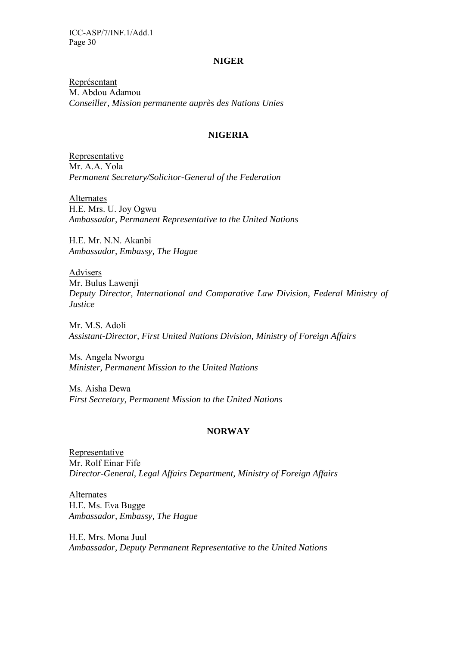#### **NIGER**

Représentant M. Abdou Adamou *Conseiller, Mission permanente auprès des Nations Unies* 

### **NIGERIA**

Representative Mr. A.A. Yola *Permanent Secretary/Solicitor-General of the Federation* 

Alternates H.E. Mrs. U. Joy Ogwu *Ambassador, Permanent Representative to the United Nations* 

H.E. Mr. N.N. Akanbi *Ambassador, Embassy, The Hague* 

Advisers Mr. Bulus Lawenji *Deputy Director, International and Comparative Law Division, Federal Ministry of Justice* 

Mr. M.S. Adoli *Assistant-Director, First United Nations Division, Ministry of Foreign Affairs* 

Ms. Angela Nworgu *Minister, Permanent Mission to the United Nations* 

Ms. Aisha Dewa *First Secretary, Permanent Mission to the United Nations* 

#### **NORWAY**

Representative Mr. Rolf Einar Fife *Director-General, Legal Affairs Department, Ministry of Foreign Affairs* 

Alternates H.E. Ms. Eva Bugge *Ambassador, Embassy, The Hague* 

H.E. Mrs. Mona Juul *Ambassador, Deputy Permanent Representative to the United Nations*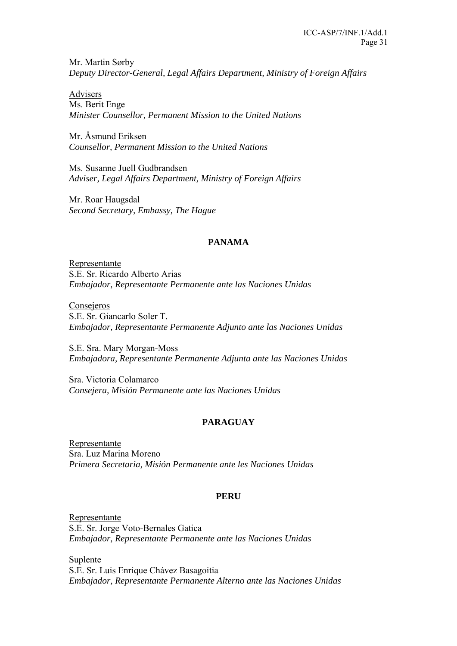Mr. Martin Sørby *Deputy Director-General, Legal Affairs Department, Ministry of Foreign Affairs* 

Advisers Ms. Berit Enge *Minister Counsellor, Permanent Mission to the United Nations* 

Mr. Åsmund Eriksen *Counsellor, Permanent Mission to the United Nations* 

Ms. Susanne Juell Gudbrandsen *Adviser, Legal Affairs Department, Ministry of Foreign Affairs* 

Mr. Roar Haugsdal *Second Secretary, Embassy, The Hague* 

## **PANAMA**

Representante S.E. Sr. Ricardo Alberto Arias *Embajador, Representante Permanente ante las Naciones Unidas* 

Consejeros S.E. Sr. Giancarlo Soler T. *Embajador, Representante Permanente Adjunto ante las Naciones Unidas* 

S.E. Sra. Mary Morgan-Moss *Embajadora, Representante Permanente Adjunta ante las Naciones Unidas* 

Sra. Victoria Colamarco *Consejera, Misión Permanente ante las Naciones Unidas* 

## **PARAGUAY**

Representante Sra. Luz Marina Moreno *Primera Secretaria, Misión Permanente ante les Naciones Unidas* 

## **PERU**

Representante S.E. Sr. Jorge Voto-Bernales Gatica *Embajador, Representante Permanente ante las Naciones Unidas*

Suplente S.E. Sr. Luis Enrique Chávez Basagoitia *Embajador, Representante Permanente Alterno ante las Naciones Unidas*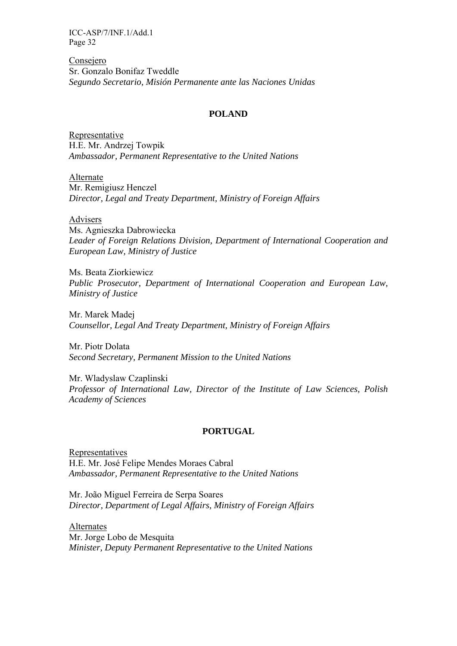Consejero Sr. Gonzalo Bonifaz Tweddle *Segundo Secretario, Misión Permanente ante las Naciones Unidas* 

### **POLAND**

Representative H.E. Mr. Andrzej Towpik *Ambassador, Permanent Representative to the United Nations* 

Alternate Mr. Remigiusz Henczel *Director, Legal and Treaty Department, Ministry of Foreign Affairs* 

Advisers

Ms. Agnieszka Dabrowiecka *Leader of Foreign Relations Division, Department of International Cooperation and European Law, Ministry of Justice* 

Ms. Beata Ziorkiewicz *Public Prosecutor, Department of International Cooperation and European Law, Ministry of Justice* 

Mr. Marek Madej *Counsellor, Legal And Treaty Department, Ministry of Foreign Affairs* 

Mr. Piotr Dolata *Second Secretary, Permanent Mission to the United Nations* 

Mr. Wladyslaw Czaplinski *Professor of International Law, Director of the Institute of Law Sciences, Polish Academy of Sciences* 

#### **PORTUGAL**

Representatives H.E. Mr. José Felipe Mendes Moraes Cabral *Ambassador, Permanent Representative to the United Nations* 

Mr. João Miguel Ferreira de Serpa Soares *Director, Department of Legal Affairs, Ministry of Foreign Affairs* 

Alternates Mr. Jorge Lobo de Mesquita *Minister, Deputy Permanent Representative to the United Nations*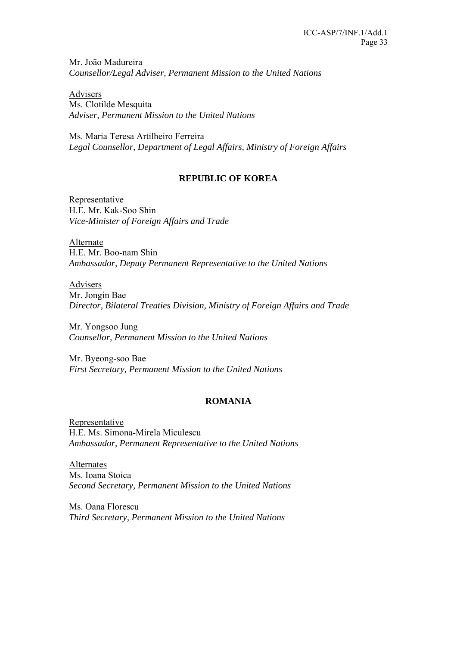Mr. João Madureira *Counsellor/Legal Adviser, Permanent Mission to the United Nations* 

Advisers Ms. Clotilde Mesquita *Adviser, Permanent Mission to the United Nations* 

Ms. Maria Teresa Artilheiro Ferreira *Legal Counsellor, Department of Legal Affairs, Ministry of Foreign Affairs* 

### **REPUBLIC OF KOREA**

Representative H.E. Mr. Kak-Soo Shin *Vice-Minister of Foreign Affairs and Trade* 

Alternate H.E. Mr. Boo-nam Shin *Ambassador, Deputy Permanent Representative to the United Nations* 

Advisers Mr. Jongin Bae *Director, Bilateral Treaties Division, Ministry of Foreign Affairs and Trade* 

Mr. Yongsoo Jung *Counsellor, Permanent Mission to the United Nations* 

Mr. Byeong-soo Bae *First Secretary, Permanent Mission to the United Nations* 

### **ROMANIA**

Representative H.E. Ms. Simona-Mirela Miculescu *Ambassador, Permanent Representative to the United Nations* 

Alternates Ms. Ioana Stoica *Second Secretary, Permanent Mission to the United Nations* 

Ms. Oana Florescu *Third Secretary, Permanent Mission to the United Nations*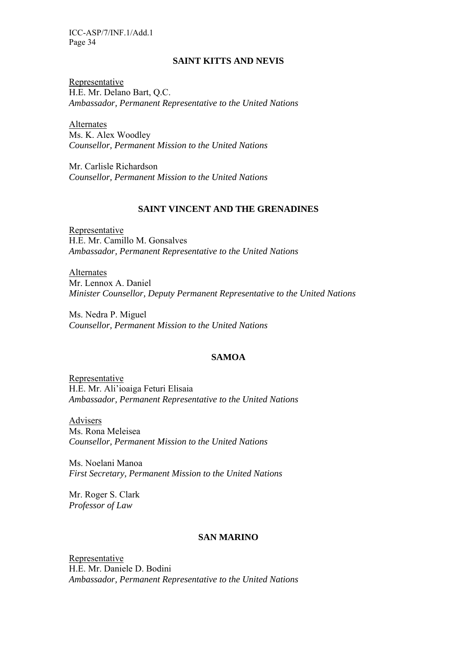### **SAINT KITTS AND NEVIS**

Representative H.E. Mr. Delano Bart, Q.C. *Ambassador, Permanent Representative to the United Nations* 

Alternates Ms. K. Alex Woodley *Counsellor, Permanent Mission to the United Nations* 

Mr. Carlisle Richardson *Counsellor, Permanent Mission to the United Nations* 

### **SAINT VINCENT AND THE GRENADINES**

Representative H.E. Mr. Camillo M. Gonsalves *Ambassador, Permanent Representative to the United Nations* 

Alternates Mr. Lennox A. Daniel *Minister Counsellor, Deputy Permanent Representative to the United Nations* 

Ms. Nedra P. Miguel *Counsellor, Permanent Mission to the United Nations* 

## **SAMOA**

Representative H.E. Mr. Ali'ioaiga Feturi Elisaia *Ambassador, Permanent Representative to the United Nations* 

Advisers Ms. Rona Meleisea *Counsellor, Permanent Mission to the United Nations* 

Ms. Noelani Manoa *First Secretary, Permanent Mission to the United Nations* 

Mr. Roger S. Clark *Professor of Law* 

### **SAN MARINO**

Representative H.E. Mr. Daniele D. Bodini *Ambassador, Permanent Representative to the United Nations*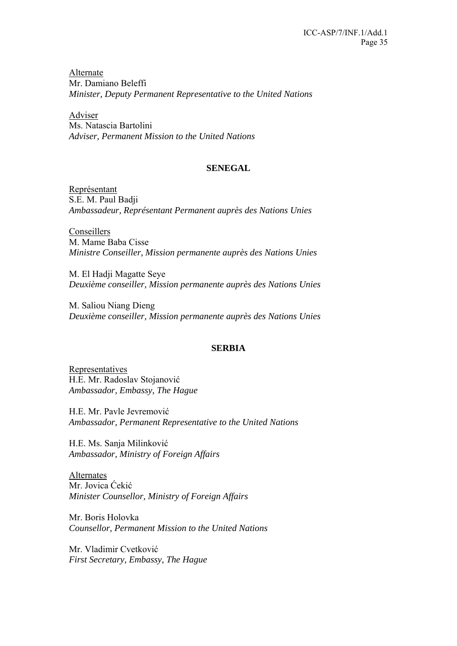Alternate Mr. Damiano Beleffi *Minister, Deputy Permanent Representative to the United Nations* 

Adviser Ms. Natascia Bartolini *Adviser, Permanent Mission to the United Nations* 

### **SENEGAL**

Représentant S.E. M. Paul Badji *Ambassadeur, Représentant Permanent auprès des Nations Unies* 

**Conseillers** M. Mame Baba Cisse *Ministre Conseiller, Mission permanente auprès des Nations Unies* 

M. El Hadji Magatte Seye *Deuxième conseiller, Mission permanente auprès des Nations Unies* 

M. Saliou Niang Dieng *Deuxième conseiller, Mission permanente auprès des Nations Unies* 

### **SERBIA**

**Representatives** H.E. Mr. Radoslav Stojanović *Ambassador, Embassy, The Hague* 

H.E. Mr. Pavle Jevremović *Ambassador, Permanent Representative to the United Nations* 

H.E. Ms. Sanja Milinković *Ambassador, Ministry of Foreign Affairs* 

Alternates Mr. Jovica Ćekić *Minister Counsellor, Ministry of Foreign Affairs* 

Mr. Boris Holovka *Counsellor, Permanent Mission to the United Nations* 

Mr. Vladimir Cvetković *First Secretary, Embassy, The Hague*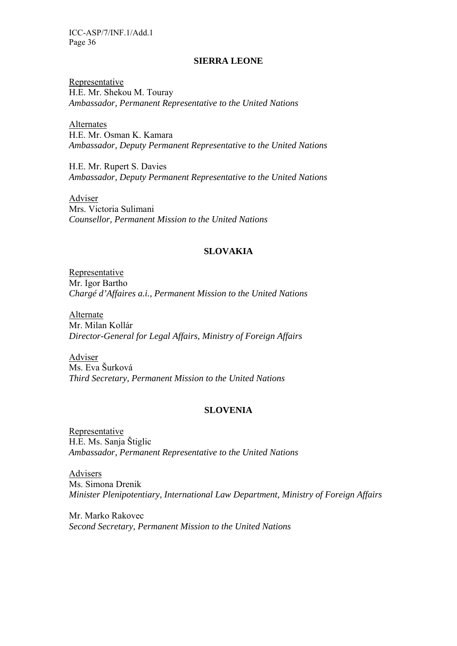#### **SIERRA LEONE**

Representative H.E. Mr. Shekou M. Touray *Ambassador, Permanent Representative to the United Nations* 

**Alternates** H.E. Mr. Osman K. Kamara *Ambassador, Deputy Permanent Representative to the United Nations* 

H.E. Mr. Rupert S. Davies *Ambassador, Deputy Permanent Representative to the United Nations* 

Adviser Mrs. Victoria Sulimani *Counsellor, Permanent Mission to the United Nations* 

### **SLOVAKIA**

Representative Mr. Igor Bartho *Chargé d'Affaires a.i., Permanent Mission to the United Nations* 

Alternate Mr. Milan Kollár *Director-General for Legal Affairs, Ministry of Foreign Affairs* 

Adviser Ms. Eva Šurková *Third Secretary, Permanent Mission to the United Nations* 

### **SLOVENIA**

Representative H.E. Ms. Sanja Štiglic *Ambassador, Permanent Representative to the United Nations* 

Advisers Ms. Simona Drenik *Minister Plenipotentiary, International Law Department, Ministry of Foreign Affairs* 

Mr. Marko Rakovec *Second Secretary, Permanent Mission to the United Nations*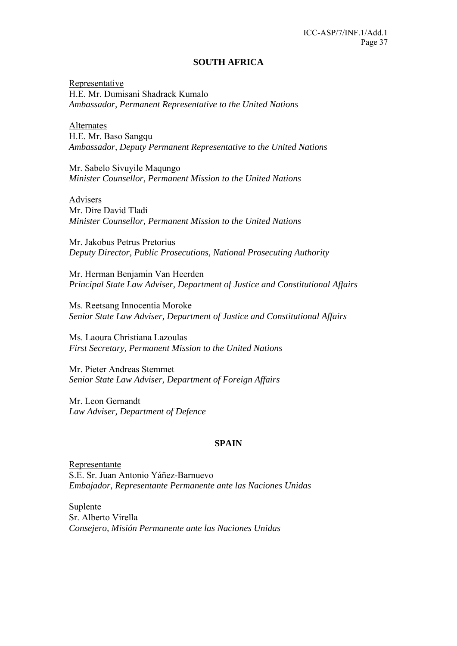#### **SOUTH AFRICA**

Representative H.E. Mr. Dumisani Shadrack Kumalo *Ambassador, Permanent Representative to the United Nations* 

Alternates H.E. Mr. Baso Sangqu *Ambassador, Deputy Permanent Representative to the United Nations* 

Mr. Sabelo Sivuyile Maqungo *Minister Counsellor, Permanent Mission to the United Nations* 

Advisers Mr. Dire David Tladi *Minister Counsellor, Permanent Mission to the United Nations* 

Mr. Jakobus Petrus Pretorius *Deputy Director, Public Prosecutions, National Prosecuting Authority* 

Mr. Herman Benjamin Van Heerden *Principal State Law Adviser, Department of Justice and Constitutional Affairs* 

Ms. Reetsang Innocentia Moroke *Senior State Law Adviser, Department of Justice and Constitutional Affairs* 

Ms. Laoura Christiana Lazoulas *First Secretary, Permanent Mission to the United Nations* 

Mr. Pieter Andreas Stemmet *Senior State Law Adviser, Department of Foreign Affairs* 

Mr. Leon Gernandt *Law Adviser, Department of Defence* 

### **SPAIN**

Representante S.E. Sr. Juan Antonio Yáñez-Barnuevo *Embajador, Representante Permanente ante las Naciones Unidas* 

Suplente Sr. Alberto Virella *Consejero, Misión Permanente ante las Naciones Unidas*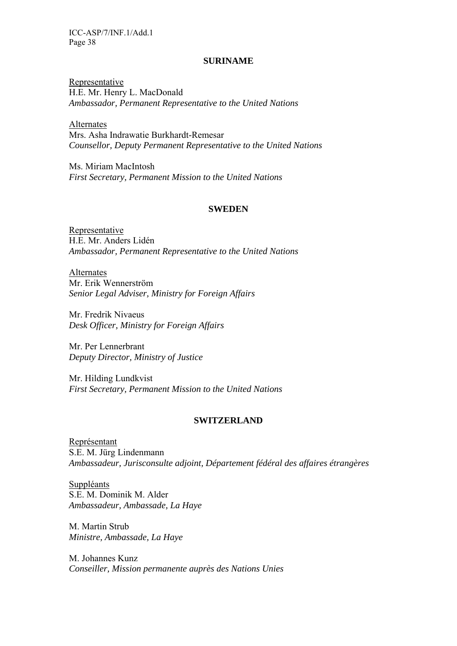### **SURINAME**

Representative H.E. Mr. Henry L. MacDonald *Ambassador, Permanent Representative to the United Nations* 

Alternates Mrs. Asha Indrawatie Burkhardt-Remesar *Counsellor, Deputy Permanent Representative to the United Nations* 

Ms. Miriam MacIntosh *First Secretary, Permanent Mission to the United Nations* 

#### **SWEDEN**

Representative H.E. Mr. Anders Lidén *Ambassador, Permanent Representative to the United Nations* 

Alternates Mr. Erik Wennerström *Senior Legal Adviser, Ministry for Foreign Affairs* 

Mr. Fredrik Nivaeus *Desk Officer, Ministry for Foreign Affairs* 

Mr. Per Lennerbrant *Deputy Director, Ministry of Justice* 

Mr. Hilding Lundkvist *First Secretary, Permanent Mission to the United Nations* 

#### **SWITZERLAND**

Représentant S.E. M. Jürg Lindenmann *Ambassadeur, Jurisconsulte adjoint, Département fédéral des affaires étrangères* 

Suppléants S.E. M. Dominik M. Alder *Ambassadeur, Ambassade, La Haye* 

M. Martin Strub *Ministre, Ambassade, La Haye* 

M. Johannes Kunz *Conseiller, Mission permanente auprès des Nations Unies*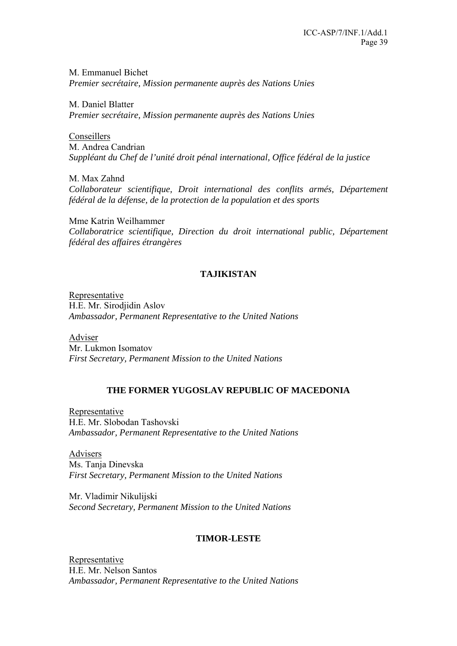M. Emmanuel Bichet *Premier secrétaire, Mission permanente auprès des Nations Unies* 

M. Daniel Blatter *Premier secrétaire, Mission permanente auprès des Nations Unies* 

Conseillers M. Andrea Candrian *Suppléant du Chef de l'unité droit pénal international, Office fédéral de la justice* 

M. Max Zahnd *Collaborateur scientifique, Droit international des conflits armés, Département fédéral de la défense, de la protection de la population et des sports* 

Mme Katrin Weilhammer *Collaboratrice scientifique, Direction du droit international public, Département fédéral des affaires étrangères* 

## **TAJIKISTAN**

Representative H.E. Mr. Sirodjidin Aslov *Ambassador, Permanent Representative to the United Nations* 

Adviser Mr. Lukmon Isomatov *First Secretary, Permanent Mission to the United Nations* 

## **THE FORMER YUGOSLAV REPUBLIC OF MACEDONIA**

Representative H.E. Mr. Slobodan Tashovski *Ambassador, Permanent Representative to the United Nations* 

Advisers Ms. Tanja Dinevska *First Secretary, Permanent Mission to the United Nations* 

Mr. Vladimir Nikulijski *Second Secretary, Permanent Mission to the United Nations* 

### **TIMOR-LESTE**

Representative H.E. Mr. Nelson Santos *Ambassador, Permanent Representative to the United Nations*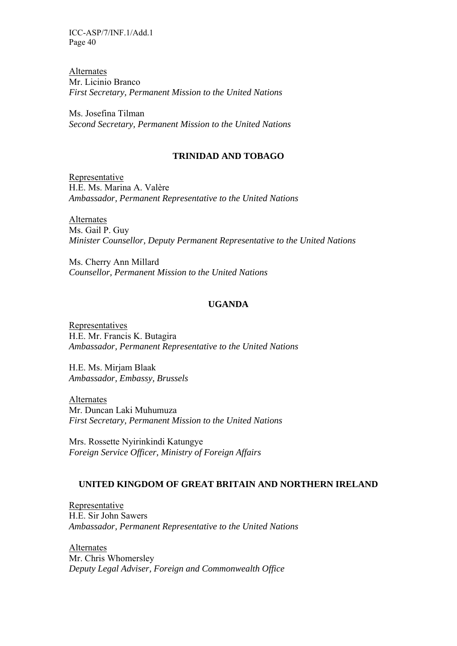Alternates Mr. Licinio Branco *First Secretary, Permanent Mission to the United Nations* 

Ms. Josefina Tilman *Second Secretary, Permanent Mission to the United Nations* 

### **TRINIDAD AND TOBAGO**

Representative H.E. Ms. Marina A. Valère *Ambassador, Permanent Representative to the United Nations* 

Alternates Ms. Gail P. Guy *Minister Counsellor, Deputy Permanent Representative to the United Nations* 

Ms. Cherry Ann Millard *Counsellor, Permanent Mission to the United Nations* 

### **UGANDA**

Representatives H.E. Mr. Francis K. Butagira *Ambassador, Permanent Representative to the United Nations* 

H.E. Ms. Mirjam Blaak *Ambassador, Embassy, Brussels* 

Alternates Mr. Duncan Laki Muhumuza *First Secretary, Permanent Mission to the United Nations* 

Mrs. Rossette Nyirinkindi Katungye *Foreign Service Officer, Ministry of Foreign Affairs* 

### **UNITED KINGDOM OF GREAT BRITAIN AND NORTHERN IRELAND**

Representative H.E. Sir John Sawers *Ambassador, Permanent Representative to the United Nations* 

Alternates Mr. Chris Whomersley *Deputy Legal Adviser, Foreign and Commonwealth Office*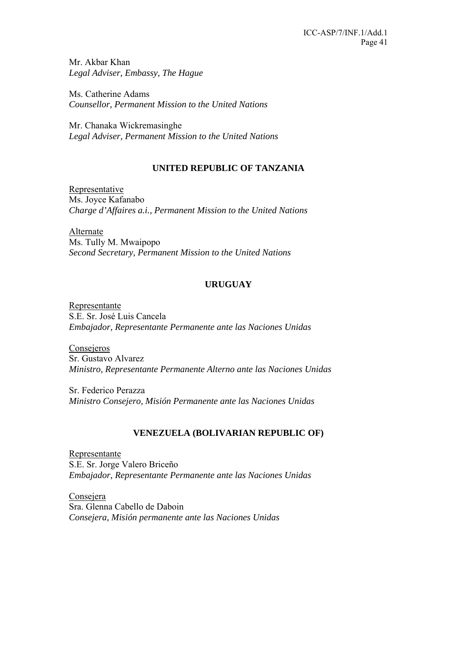Mr. Akbar Khan *Legal Adviser, Embassy, The Hague* 

Ms. Catherine Adams *Counsellor, Permanent Mission to the United Nations* 

Mr. Chanaka Wickremasinghe *Legal Adviser, Permanent Mission to the United Nations* 

## **UNITED REPUBLIC OF TANZANIA**

Representative Ms. Joyce Kafanabo *Charge d'Affaires a.i., Permanent Mission to the United Nations* 

Alternate Ms. Tully M. Mwaipopo *Second Secretary, Permanent Mission to the United Nations* 

## **URUGUAY**

Representante S.E. Sr. José Luis Cancela *Embajador, Representante Permanente ante las Naciones Unidas* 

Consejeros Sr. Gustavo Alvarez *Ministro, Representante Permanente Alterno ante las Naciones Unidas* 

Sr. Federico Perazza *Ministro Consejero, Misión Permanente ante las Naciones Unidas* 

## **VENEZUELA (BOLIVARIAN REPUBLIC OF)**

Representante S.E. Sr. Jorge Valero Briceño *Embajador, Representante Permanente ante las Naciones Unidas* 

Consejera Sra. Glenna Cabello de Daboin *Consejera, Misión permanente ante las Naciones Unidas*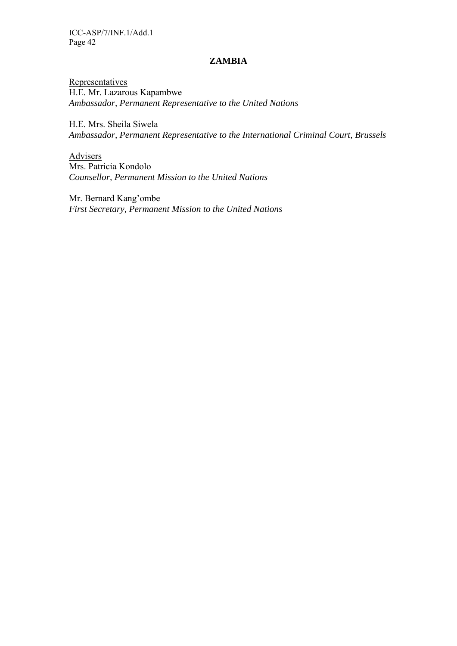### **ZAMBIA**

**Representatives** H.E. Mr. Lazarous Kapambwe *Ambassador, Permanent Representative to the United Nations* 

H.E. Mrs. Sheila Siwela *Ambassador, Permanent Representative to the International Criminal Court, Brussels* 

Advisers Mrs. Patricia Kondolo *Counsellor, Permanent Mission to the United Nations* 

Mr. Bernard Kang'ombe *First Secretary, Permanent Mission to the United Nations*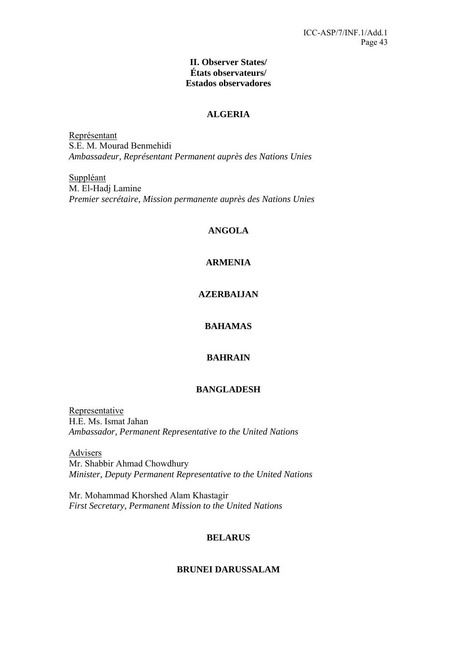### **II. Observer States/ États observateurs/ Estados observadores**

## **ALGERIA**

Représentant S.E. M. Mourad Benmehidi *Ambassadeur, Représentant Permanent auprès des Nations Unies* 

Suppléant M. El-Hadj Lamine *Premier secrétaire, Mission permanente auprès des Nations Unies* 

## **ANGOLA**

## **ARMENIA**

## **AZERBAIJAN**

### **BAHAMAS**

## **BAHRAIN**

### **BANGLADESH**

Representative H.E. Ms. Ismat Jahan *Ambassador, Permanent Representative to the United Nations* 

Advisers Mr. Shabbir Ahmad Chowdhury *Minister, Deputy Permanent Representative to the United Nations* 

Mr. Mohammad Khorshed Alam Khastagir *First Secretary, Permanent Mission to the United Nations* 

### **BELARUS**

### **BRUNEI DARUSSALAM**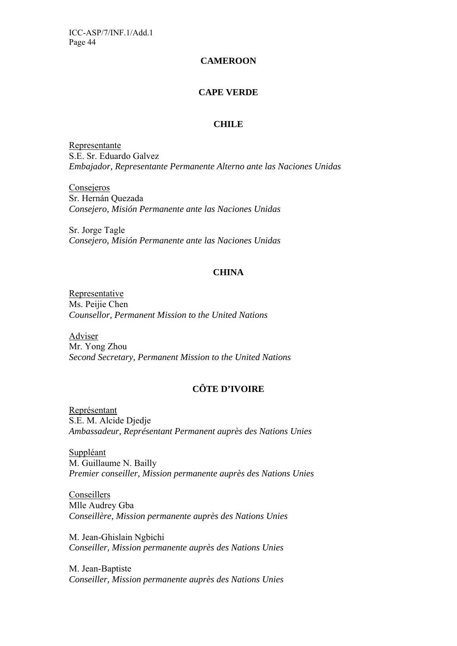## **CAMEROON**

## **CAPE VERDE**

### **CHILE**

Representante S.E. Sr. Eduardo Galvez *Embajador, Representante Permanente Alterno ante las Naciones Unidas* 

**Consejeros** Sr. Hernán Quezada *Consejero, Misión Permanente ante las Naciones Unidas* 

Sr. Jorge Tagle *Consejero, Misión Permanente ante las Naciones Unidas* 

## **CHINA**

Representative Ms. Peijie Chen *Counsellor, Permanent Mission to the United Nations* 

Adviser Mr. Yong Zhou *Second Secretary, Permanent Mission to the United Nations* 

## **CÔTE D'IVOIRE**

Représentant S.E. M. Alcide Djedje *Ambassadeur, Représentant Permanent auprès des Nations Unies* 

Suppléant M. Guillaume N. Bailly *Premier conseiller, Mission permanente auprès des Nations Unies* 

Conseillers Mlle Audrey Gba *Conseillère, Mission permanente auprès des Nations Unies* 

M. Jean-Ghislain Ngbichi *Conseiller, Mission permanente auprès des Nations Unies* 

M. Jean-Baptiste *Conseiller, Mission permanente auprès des Nations Unies*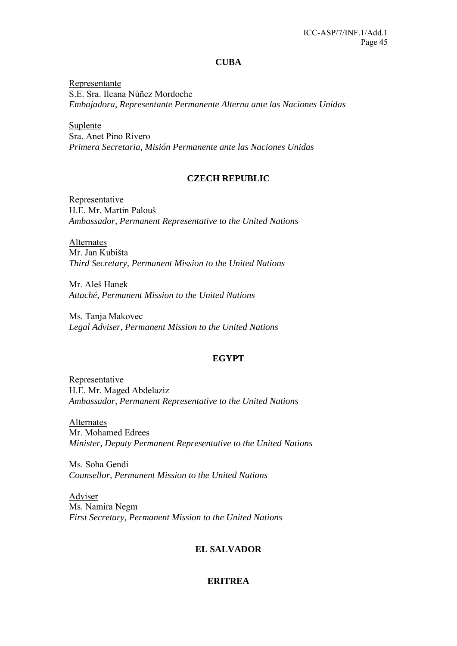#### **CUBA**

Representante S.E. Sra. Ileana Núñez Mordoche *Embajadora, Representante Permanente Alterna ante las Naciones Unidas* 

Suplente Sra. Anet Pino Rivero *Primera Secretaria, Misión Permanente ante las Naciones Unidas* 

## **CZECH REPUBLIC**

**Representative** H.E. Mr. Martin Palouš *Ambassador, Permanent Representative to the United Nations* 

Alternates Mr. Jan Kubišta *Third Secretary, Permanent Mission to the United Nations* 

Mr. Aleš Hanek *Attaché, Permanent Mission to the United Nations* 

Ms. Tanja Makovec *Legal Adviser, Permanent Mission to the United Nations* 

## **EGYPT**

Representative H.E. Mr. Maged Abdelaziz *Ambassador, Permanent Representative to the United Nations* 

Alternates Mr. Mohamed Edrees *Minister, Deputy Permanent Representative to the United Nations* 

Ms. Soha Gendi *Counsellor, Permanent Mission to the United Nations* 

Adviser Ms. Namira Negm *First Secretary, Permanent Mission to the United Nations* 

## **EL SALVADOR**

### **ERITREA**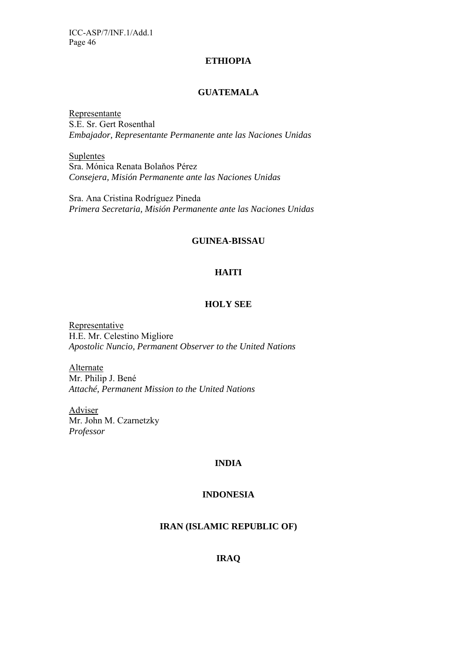### **ETHIOPIA**

### **GUATEMALA**

Representante S.E. Sr. Gert Rosenthal *Embajador, Representante Permanente ante las Naciones Unidas* 

Suplentes Sra. Mónica Renata Bolaňos Pérez *Consejera, Misión Permanente ante las Naciones Unidas* 

Sra. Ana Cristina Rodríguez Pineda *Primera Secretaria, Misión Permanente ante las Naciones Unidas* 

### **GUINEA-BISSAU**

## **HAITI**

### **HOLY SEE**

Representative H.E. Mr. Celestino Migliore *Apostolic Nuncio, Permanent Observer to the United Nations* 

Alternate Mr. Philip J. Bené *Attaché, Permanent Mission to the United Nations* 

Adviser Mr. John M. Czarnetzky *Professor* 

### **INDIA**

## **INDONESIA**

## **IRAN (ISLAMIC REPUBLIC OF)**

## **IRAQ**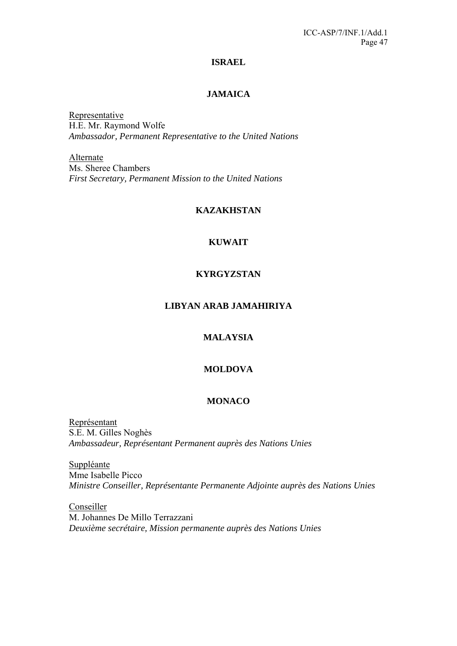### **ISRAEL**

## **JAMAICA**

Representative H.E. Mr. Raymond Wolfe *Ambassador, Permanent Representative to the United Nations* 

Alternate Ms. Sheree Chambers *First Secretary, Permanent Mission to the United Nations* 

### **KAZAKHSTAN**

## **KUWAIT**

## **KYRGYZSTAN**

### **LIBYAN ARAB JAMAHIRIYA**

## **MALAYSIA**

## **MOLDOVA**

### **MONACO**

Représentant S.E. M. Gilles Noghès *Ambassadeur, Représentant Permanent auprès des Nations Unies* 

**Suppléante** Mme Isabelle Picco *Ministre Conseiller, Représentante Permanente Adjointe auprès des Nations Unies* 

Conseiller M. Johannes De Millo Terrazzani *Deuxième secrétaire, Mission permanente auprès des Nations Unies*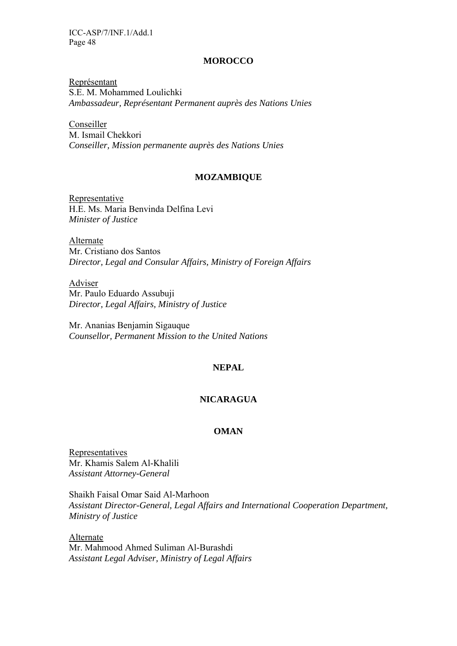### **MOROCCO**

Représentant S.E. M. Mohammed Loulichki *Ambassadeur, Représentant Permanent auprès des Nations Unies* 

Conseiller M. Ismail Chekkori *Conseiller, Mission permanente auprès des Nations Unies* 

### **MOZAMBIQUE**

Representative H.E. Ms. Maria Benvinda Delfina Levi *Minister of Justice* 

Alternate Mr. Cristiano dos Santos *Director, Legal and Consular Affairs, Ministry of Foreign Affairs* 

Adviser Mr. Paulo Eduardo Assubuji *Director, Legal Affairs, Ministry of Justice* 

Mr. Ananias Benjamin Sigauque *Counsellor, Permanent Mission to the United Nations* 

### **NEPAL**

## **NICARAGUA**

### **OMAN**

Representatives Mr. Khamis Salem Al-Khalili *Assistant Attorney-General* 

Shaikh Faisal Omar Said Al-Marhoon *Assistant Director-General, Legal Affairs and International Cooperation Department, Ministry of Justice* 

Alternate Mr. Mahmood Ahmed Suliman Al-Burashdi *Assistant Legal Adviser, Ministry of Legal Affairs*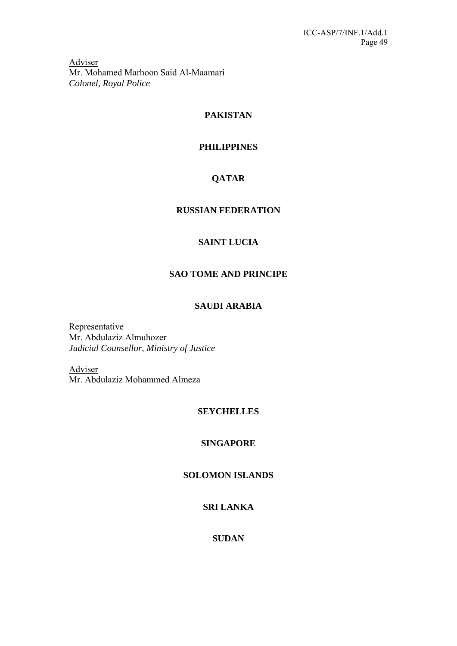Adviser Mr. Mohamed Marhoon Said Al-Maamari *Colonel, Royal Police* 

## **PAKISTAN**

## **PHILIPPINES**

## **QATAR**

## **RUSSIAN FEDERATION**

## **SAINT LUCIA**

## **SAO TOME AND PRINCIPE**

## **SAUDI ARABIA**

Representative Mr. Abdulaziz Almuhozer *Judicial Counsellor, Ministry of Justice* 

Adviser Mr. Abdulaziz Mohammed Almeza

## **SEYCHELLES**

## **SINGAPORE**

## **SOLOMON ISLANDS**

## **SRI LANKA**

## **SUDAN**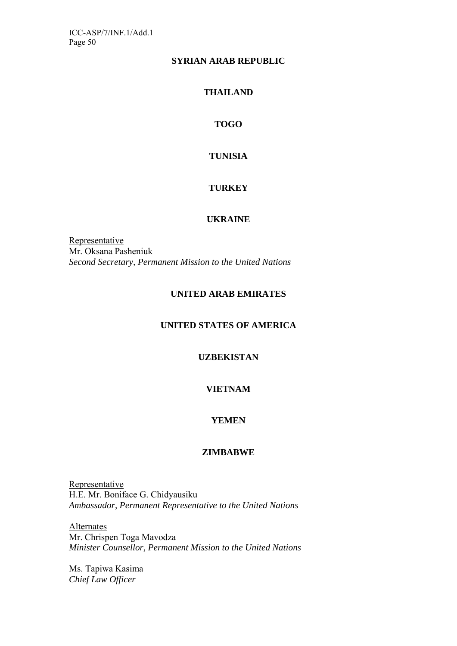## **SYRIAN ARAB REPUBLIC**

## **THAILAND**

## **TOGO**

## **TUNISIA**

## **TURKEY**

## **UKRAINE**

Representative Mr. Oksana Pasheniuk *Second Secretary, Permanent Mission to the United Nations* 

## **UNITED ARAB EMIRATES**

## **UNITED STATES OF AMERICA**

## **UZBEKISTAN**

## **VIETNAM**

## **YEMEN**

### **ZIMBABWE**

Representative H.E. Mr. Boniface G. Chidyausiku *Ambassador, Permanent Representative to the United Nations* 

**Alternates** Mr. Chrispen Toga Mavodza *Minister Counsellor, Permanent Mission to the United Nations* 

Ms. Tapiwa Kasima *Chief Law Officer*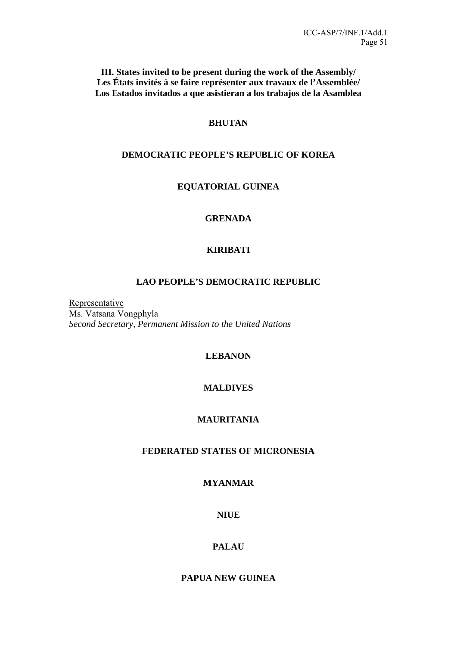**III. States invited to be present during the work of the Assembly/ Les États invités à se faire représenter aux travaux de l'Assemblée/ Los Estados invitados a que asistieran a los trabajos de la Asamblea** 

## **BHUTAN**

### **DEMOCRATIC PEOPLE'S REPUBLIC OF KOREA**

## **EQUATORIAL GUINEA**

## **GRENADA**

## **KIRIBATI**

## **LAO PEOPLE'S DEMOCRATIC REPUBLIC**

Representative Ms. Vatsana Vongphyla *Second Secretary, Permanent Mission to the United Nations* 

### **LEBANON**

## **MALDIVES**

## **MAURITANIA**

## **FEDERATED STATES OF MICRONESIA**

## **MYANMAR**

### **NIUE**

### **PALAU**

## **PAPUA NEW GUINEA**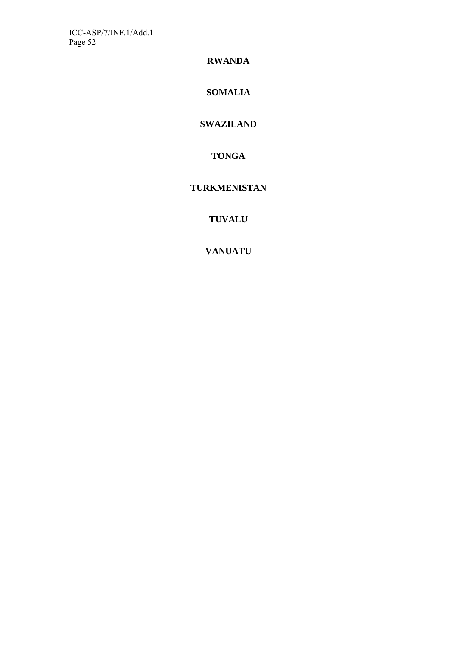**RWANDA** 

**SOMALIA** 

## **SWAZILAND**

**TONGA** 

## **TURKMENISTAN**

**TUVALU** 

**VANUATU**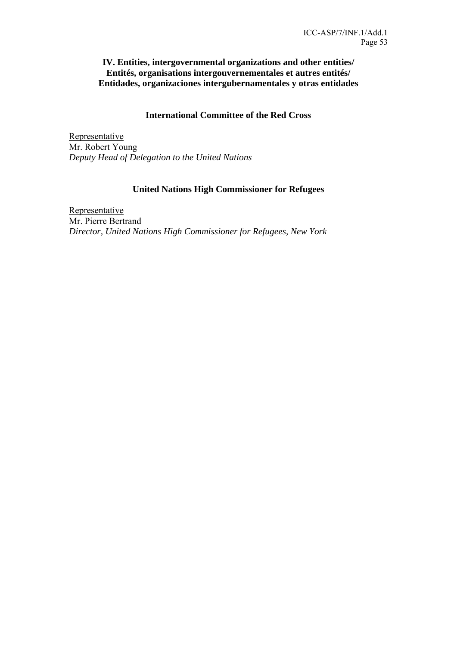## **IV. Entities, intergovernmental organizations and other entities/ Entités, organisations intergouvernementales et autres entités/ Entidades, organizaciones intergubernamentales y otras entidades**

## **International Committee of the Red Cross**

Representative Mr. Robert Young *Deputy Head of Delegation to the United Nations* 

## **United Nations High Commissioner for Refugees**

**Representative** Mr. Pierre Bertrand *Director, United Nations High Commissioner for Refugees, New York*